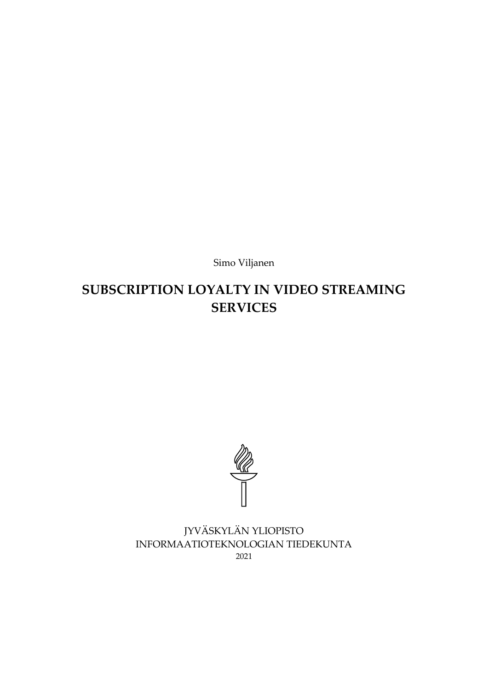Simo Viljanen

# **SUBSCRIPTION LOYALTY IN VIDEO STREAMING SERVICES**



JYVÄSKYLÄN YLIOPISTO INFORMAATIOTEKNOLOGIAN TIEDEKUNTA 2021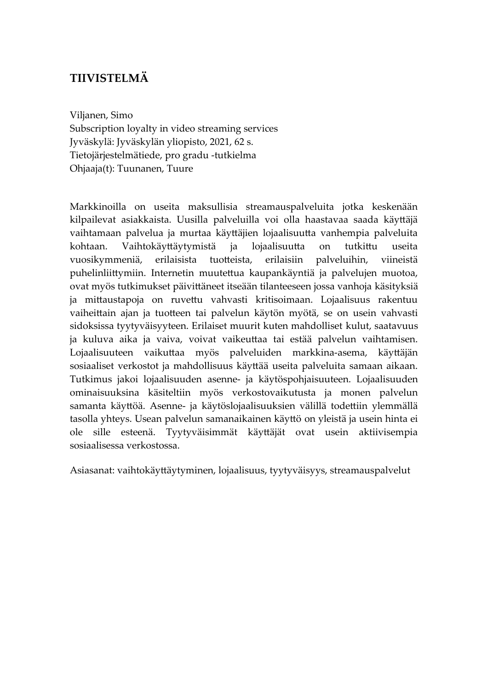### **TIIVISTELMÄ**

Viljanen, Simo

Subscription loyalty in video streaming services Jyväskylä: Jyväskylän yliopisto, 2021, 62 s. Tietojärjestelmätiede, pro gradu -tutkielma Ohjaaja(t): Tuunanen, Tuure

Markkinoilla on useita maksullisia streamauspalveluita jotka keskenään kilpailevat asiakkaista. Uusilla palveluilla voi olla haastavaa saada käyttäjä vaihtamaan palvelua ja murtaa käyttäjien lojaalisuutta vanhempia palveluita kohtaan. Vaihtokäyttäytymistä ja lojaalisuutta on tutkittu useita vuosikymmeniä, erilaisista tuotteista, erilaisiin palveluihin, viineistä puhelinliittymiin. Internetin muutettua kaupankäyntiä ja palvelujen muotoa, ovat myös tutkimukset päivittäneet itseään tilanteeseen jossa vanhoja käsityksiä ja mittaustapoja on ruvettu vahvasti kritisoimaan. Lojaalisuus rakentuu vaiheittain ajan ja tuotteen tai palvelun käytön myötä, se on usein vahvasti sidoksissa tyytyväisyyteen. Erilaiset muurit kuten mahdolliset kulut, saatavuus ja kuluva aika ja vaiva, voivat vaikeuttaa tai estää palvelun vaihtamisen. Lojaalisuuteen vaikuttaa myös palveluiden markkina-asema, käyttäjän sosiaaliset verkostot ja mahdollisuus käyttää useita palveluita samaan aikaan. Tutkimus jakoi lojaalisuuden asenne- ja käytöspohjaisuuteen. Lojaalisuuden ominaisuuksina käsiteltiin myös verkostovaikutusta ja monen palvelun samanta käyttöä. Asenne- ja käytöslojaalisuuksien välillä todettiin ylemmällä tasolla yhteys. Usean palvelun samanaikainen käyttö on yleistä ja usein hinta ei ole sille esteenä. Tyytyväisimmät käyttäjät ovat usein aktiivisempia sosiaalisessa verkostossa.

Asiasanat: vaihtokäyttäytyminen, lojaalisuus, tyytyväisyys, streamauspalvelut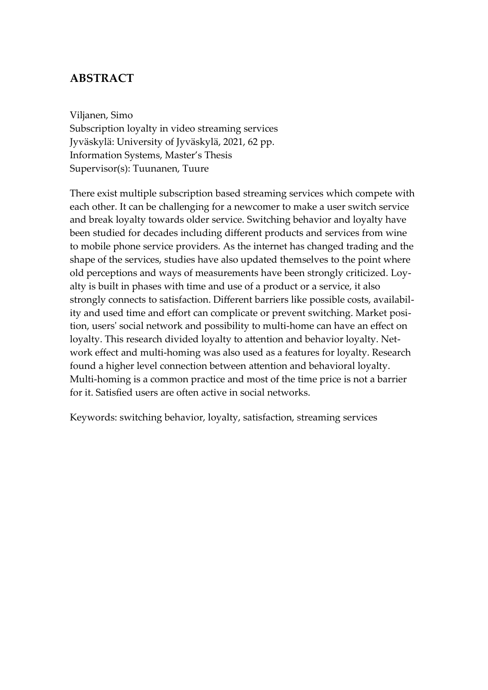### **ABSTRACT**

Viljanen, Simo Subscription loyalty in video streaming services Jyväskylä: University of Jyväskylä, 2021, 62 pp. Information Systems, Master's Thesis Supervisor(s): Tuunanen, Tuure

There exist multiple subscription based streaming services which compete with each other. It can be challenging for a newcomer to make a user switch service and break loyalty towards older service. Switching behavior and loyalty have been studied for decades including different products and services from wine to mobile phone service providers. As the internet has changed trading and the shape of the services, studies have also updated themselves to the point where old perceptions and ways of measurements have been strongly criticized. Loyalty is built in phases with time and use of a product or a service, it also strongly connects to satisfaction. Different barriers like possible costs, availability and used time and effort can complicate or prevent switching. Market position, users' social network and possibility to multi-home can have an effect on loyalty. This research divided loyalty to attention and behavior loyalty. Network effect and multi-homing was also used as a features for loyalty. Research found a higher level connection between attention and behavioral loyalty. Multi-homing is a common practice and most of the time price is not a barrier for it. Satisfied users are often active in social networks.

Keywords: switching behavior, loyalty, satisfaction, streaming services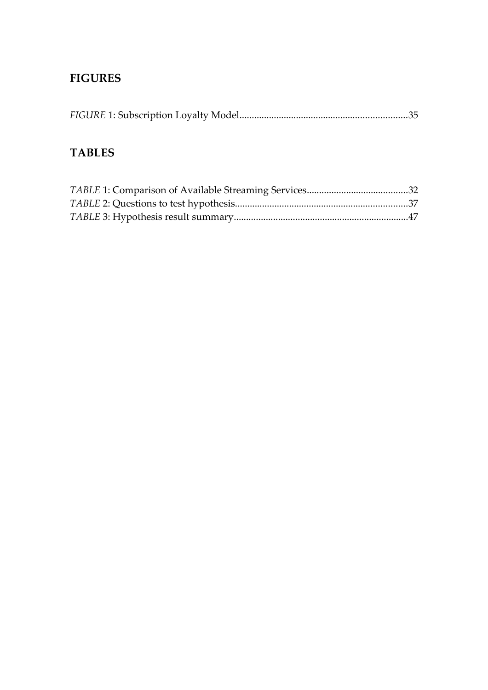## **FIGURES**

|--|

## **TABLES**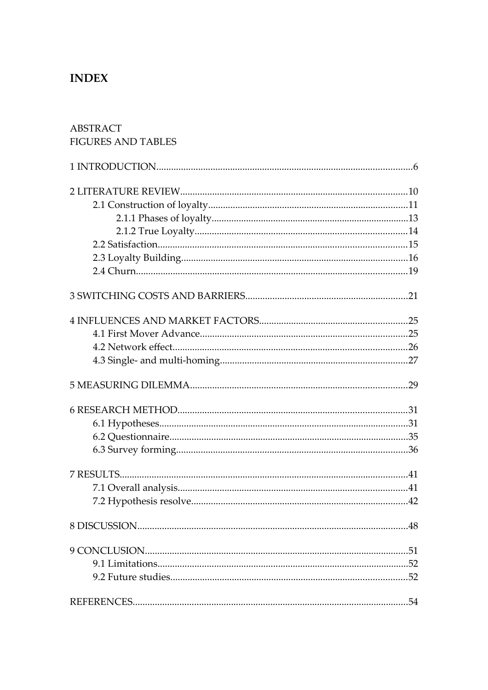### **INDEX**

# **ABSTRACT FIGURES AND TABLES** 5 MEASURING DILEMMA 29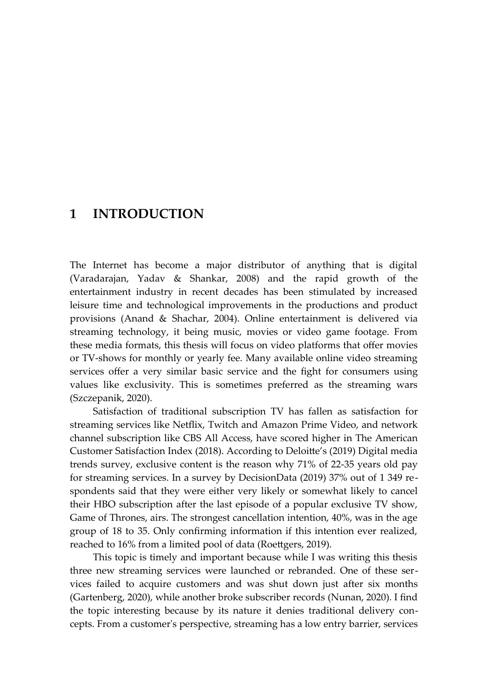### <span id="page-5-0"></span>**1 INTRODUCTION**

The Internet has become a major distributor of anything that is digital (Varadarajan, Yadav & Shankar, 2008) and the rapid growth of the entertainment industry in recent decades has been stimulated by increased leisure time and technological improvements in the productions and product provisions (Anand & Shachar, 2004). Online entertainment is delivered via streaming technology, it being music, movies or video game footage. From these media formats, this thesis will focus on video platforms that offer movies or TV-shows for monthly or yearly fee. Many available online video streaming services offer a very similar basic service and the fight for consumers using values like exclusivity. This is sometimes preferred as the streaming wars (Szczepanik, 2020).

Satisfaction of traditional subscription TV has fallen as satisfaction for streaming services like Netflix, Twitch and Amazon Prime Video, and network channel subscription like CBS All Access, have scored higher in The American Customer Satisfaction Index (2018). According to Deloitte's (2019) Digital media trends survey, exclusive content is the reason why 71% of 22-35 years old pay for streaming services. In a survey by DecisionData (2019) 37% out of 1 349 respondents said that they were either very likely or somewhat likely to cancel their HBO subscription after the last episode of a popular exclusive TV show, Game of Thrones, airs. The strongest cancellation intention, 40%, was in the age group of 18 to 35. Only confirming information if this intention ever realized, reached to 16% from a limited pool of data (Roettgers, 2019).

This topic is timely and important because while I was writing this thesis three new streaming services were launched or rebranded. One of these services failed to acquire customers and was shut down just after six months (Gartenberg, 2020), while another broke subscriber records (Nunan, 2020). I find the topic interesting because by its nature it denies traditional delivery concepts. From a customer's perspective, streaming has a low entry barrier, services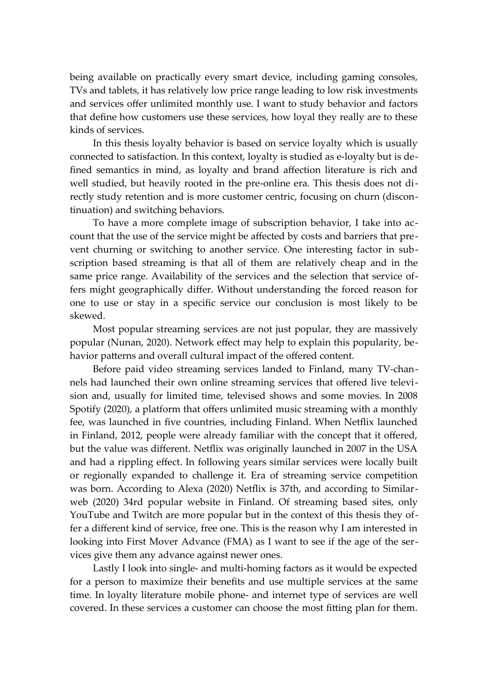being available on practically every smart device, including gaming consoles, TVs and tablets, it has relatively low price range leading to low risk investments and services offer unlimited monthly use. I want to study behavior and factors that define how customers use these services, how loyal they really are to these kinds of services.

In this thesis loyalty behavior is based on service loyalty which is usually connected to satisfaction. In this context, loyalty is studied as e-loyalty but is defined semantics in mind, as loyalty and brand affection literature is rich and well studied, but heavily rooted in the pre-online era. This thesis does not directly study retention and is more customer centric, focusing on churn (discontinuation) and switching behaviors.

To have a more complete image of subscription behavior, I take into account that the use of the service might be affected by costs and barriers that prevent churning or switching to another service. One interesting factor in subscription based streaming is that all of them are relatively cheap and in the same price range. Availability of the services and the selection that service offers might geographically differ. Without understanding the forced reason for one to use or stay in a specific service our conclusion is most likely to be skewed.

Most popular streaming services are not just popular, they are massively popular (Nunan, 2020). Network effect may help to explain this popularity, behavior patterns and overall cultural impact of the offered content.

Before paid video streaming services landed to Finland, many TV-channels had launched their own online streaming services that offered live television and, usually for limited time, televised shows and some movies. In 2008 Spotify (2020), a platform that offers unlimited music streaming with a monthly fee, was launched in five countries, including Finland. When Netflix launched in Finland, 2012, people were already familiar with the concept that it offered, but the value was different. Netflix was originally launched in 2007 in the USA and had a rippling effect. In following years similar services were locally built or regionally expanded to challenge it. Era of streaming service competition was born. According to Alexa (2020) Netflix is 37th, and according to Similarweb (2020) 34rd popular website in Finland. Of streaming based sites, only YouTube and Twitch are more popular but in the context of this thesis they offer a different kind of service, free one. This is the reason why I am interested in looking into First Mover Advance (FMA) as I want to see if the age of the services give them any advance against newer ones.

Lastly I look into single- and multi-homing factors as it would be expected for a person to maximize their benefits and use multiple services at the same time. In loyalty literature mobile phone- and internet type of services are well covered. In these services a customer can choose the most fitting plan for them.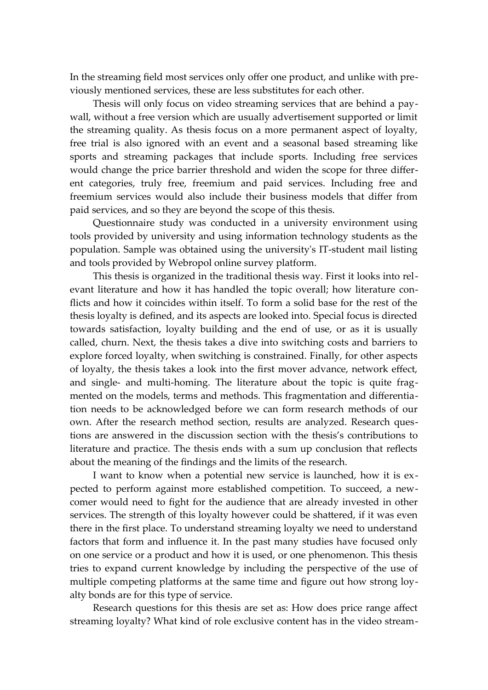In the streaming field most services only offer one product, and unlike with previously mentioned services, these are less substitutes for each other.

Thesis will only focus on video streaming services that are behind a paywall, without a free version which are usually advertisement supported or limit the streaming quality. As thesis focus on a more permanent aspect of loyalty, free trial is also ignored with an event and a seasonal based streaming like sports and streaming packages that include sports. Including free services would change the price barrier threshold and widen the scope for three different categories, truly free, freemium and paid services. Including free and freemium services would also include their business models that differ from paid services, and so they are beyond the scope of this thesis.

Questionnaire study was conducted in a university environment using tools provided by university and using information technology students as the population. Sample was obtained using the university's IT-student mail listing and tools provided by Webropol online survey platform.

This thesis is organized in the traditional thesis way. First it looks into relevant literature and how it has handled the topic overall; how literature conflicts and how it coincides within itself. To form a solid base for the rest of the thesis loyalty is defined, and its aspects are looked into. Special focus is directed towards satisfaction, loyalty building and the end of use, or as it is usually called, churn. Next, the thesis takes a dive into switching costs and barriers to explore forced loyalty, when switching is constrained. Finally, for other aspects of loyalty, the thesis takes a look into the first mover advance, network effect, and single- and multi-homing. The literature about the topic is quite fragmented on the models, terms and methods. This fragmentation and differentiation needs to be acknowledged before we can form research methods of our own. After the research method section, results are analyzed. Research questions are answered in the discussion section with the thesis's contributions to literature and practice. The thesis ends with a sum up conclusion that reflects about the meaning of the findings and the limits of the research.

I want to know when a potential new service is launched, how it is expected to perform against more established competition. To succeed, a newcomer would need to fight for the audience that are already invested in other services. The strength of this loyalty however could be shattered, if it was even there in the first place. To understand streaming loyalty we need to understand factors that form and influence it. In the past many studies have focused only on one service or a product and how it is used, or one phenomenon. This thesis tries to expand current knowledge by including the perspective of the use of multiple competing platforms at the same time and figure out how strong loyalty bonds are for this type of service.

Research questions for this thesis are set as: How does price range affect streaming loyalty? What kind of role exclusive content has in the video stream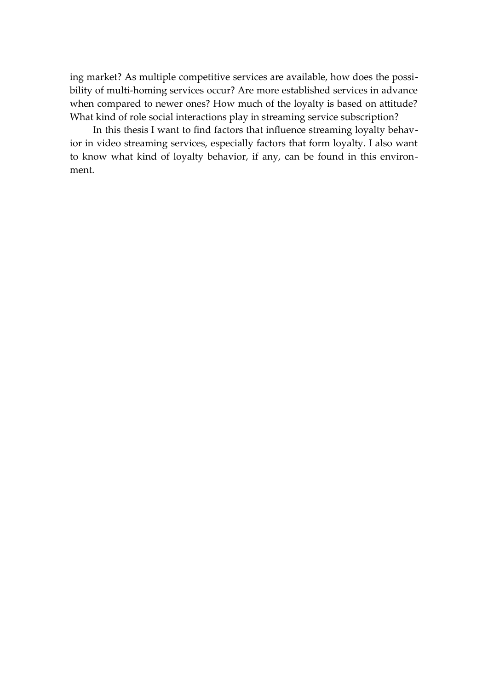ing market? As multiple competitive services are available, how does the possibility of multi-homing services occur? Are more established services in advance when compared to newer ones? How much of the loyalty is based on attitude? What kind of role social interactions play in streaming service subscription?

In this thesis I want to find factors that influence streaming loyalty behavior in video streaming services, especially factors that form loyalty. I also want to know what kind of loyalty behavior, if any, can be found in this environment.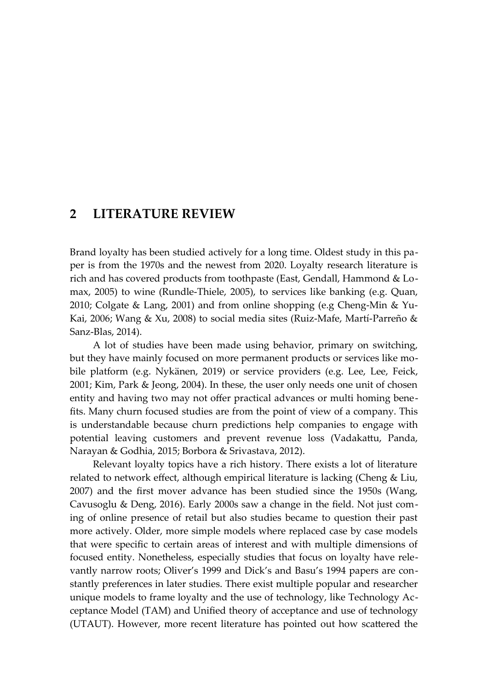### <span id="page-9-0"></span>**2 LITERATURE REVIEW**

Brand loyalty has been studied actively for a long time. Oldest study in this paper is from the 1970s and the newest from 2020. Loyalty research literature is rich and has covered products from toothpaste (East, Gendall, Hammond & Lomax, 2005) to wine (Rundle-Thiele, 2005), to services like banking (e.g. Quan, 2010; Colgate & Lang, 2001) and from online shopping (e.g Cheng-Min & Yu-Kai, 2006; Wang & Xu, 2008) to social media sites (Ruiz-Mafe, Martí-Parreño & Sanz-Blas, 2014).

A lot of studies have been made using behavior, primary on switching, but they have mainly focused on more permanent products or services like mobile platform (e.g. Nykänen, 2019) or service providers (e.g. Lee, Lee, Feick, 2001; Kim, Park & Jeong, 2004). In these, the user only needs one unit of chosen entity and having two may not offer practical advances or multi homing benefits. Many churn focused studies are from the point of view of a company. This is understandable because churn predictions help companies to engage with potential leaving customers and prevent revenue loss (Vadakattu, Panda, Narayan & Godhia, 2015; Borbora & Srivastava, 2012).

Relevant loyalty topics have a rich history. There exists a lot of literature related to network effect, although empirical literature is lacking (Cheng & Liu, 2007) and the first mover advance has been studied since the 1950s (Wang, Cavusoglu & Deng, 2016). Early 2000s saw a change in the field. Not just coming of online presence of retail but also studies became to question their past more actively. Older, more simple models where replaced case by case models that were specific to certain areas of interest and with multiple dimensions of focused entity. Nonetheless, especially studies that focus on loyalty have relevantly narrow roots; Oliver's 1999 and Dick's and Basu's 1994 papers are constantly preferences in later studies. There exist multiple popular and researcher unique models to frame loyalty and the use of technology, like Technology Acceptance Model (TAM) and Unified theory of acceptance and use of technology (UTAUT). However, more recent literature has pointed out how scattered the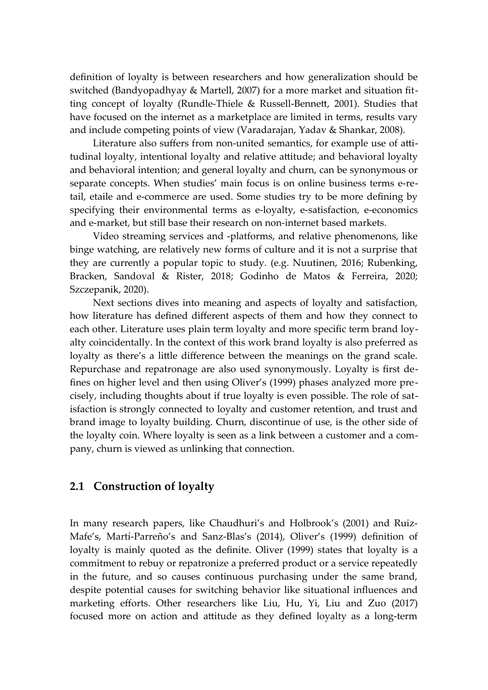definition of loyalty is between researchers and how generalization should be switched (Bandyopadhyay & Martell, 2007) for a more market and situation fitting concept of loyalty (Rundle-Thiele & Russell-Bennett, 2001). Studies that have focused on the internet as a marketplace are limited in terms, results vary and include competing points of view (Varadarajan, Yadav & Shankar, 2008).

Literature also suffers from non-united semantics, for example use of attitudinal loyalty, intentional loyalty and relative attitude; and behavioral loyalty and behavioral intention; and general loyalty and churn, can be synonymous or separate concepts. When studies' main focus is on online business terms e-retail, etaile and e-commerce are used. Some studies try to be more defining by specifying their environmental terms as e-loyalty, e-satisfaction, e-economics and e-market, but still base their research on non-internet based markets.

Video streaming services and -platforms, and relative phenomenons, like binge watching, are relatively new forms of culture and it is not a surprise that they are currently a popular topic to study. (e.g. Nuutinen, 2016; Rubenking, Bracken, Sandoval & Rister, 2018; Godinho de Matos & Ferreira, 2020; Szczepanik, 2020).

Next sections dives into meaning and aspects of loyalty and satisfaction, how literature has defined different aspects of them and how they connect to each other. Literature uses plain term loyalty and more specific term brand loyalty coincidentally. In the context of this work brand loyalty is also preferred as loyalty as there's a little difference between the meanings on the grand scale. Repurchase and repatronage are also used synonymously. Loyalty is first defines on higher level and then using Oliver's (1999) phases analyzed more precisely, including thoughts about if true loyalty is even possible. The role of satisfaction is strongly connected to loyalty and customer retention, and trust and brand image to loyalty building. Churn, discontinue of use, is the other side of the loyalty coin. Where loyalty is seen as a link between a customer and a company, churn is viewed as unlinking that connection.

#### <span id="page-10-0"></span>**2.1 Construction of loyalty**

In many research papers, like Chaudhuri's and Holbrook's (2001) and Ruiz-Mafe's, Martí-Parreño's and Sanz-Blas's (2014), Oliver's (1999) definition of loyalty is mainly quoted as the definite. Oliver (1999) states that loyalty is a commitment to rebuy or repatronize a preferred product or a service repeatedly in the future, and so causes continuous purchasing under the same brand, despite potential causes for switching behavior like situational influences and marketing efforts. Other researchers like Liu, Hu, Yi, Liu and Zuo (2017) focused more on action and attitude as they defined loyalty as a long-term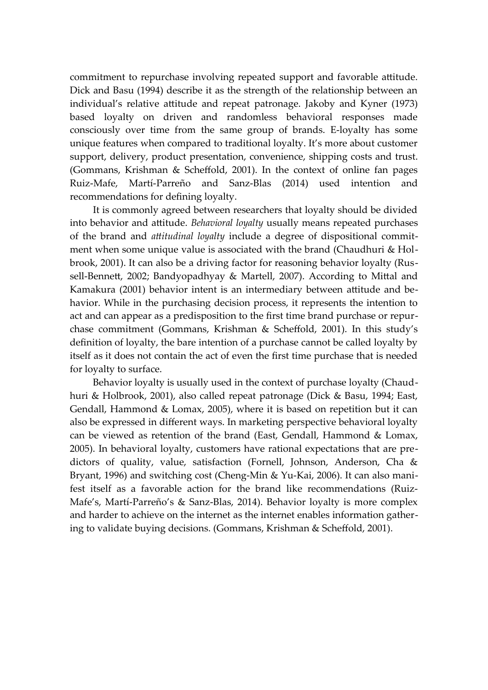commitment to repurchase involving repeated support and favorable attitude. Dick and Basu (1994) describe it as the strength of the relationship between an individual's relative attitude and repeat patronage. Jakoby and Kyner (1973) based loyalty on driven and randomless behavioral responses made consciously over time from the same group of brands. E-loyalty has some unique features when compared to traditional loyalty. It's more about customer support, delivery, product presentation, convenience, shipping costs and trust. (Gommans, Krishman & Scheffold, 2001). In the context of online fan pages Ruiz-Mafe, Martí-Parreño and Sanz-Blas (2014) used intention and recommendations for defining loyalty.

It is commonly agreed between researchers that loyalty should be divided into behavior and attitude. *Behavioral loyalty* usually means repeated purchases of the brand and *attitudinal loyalty* include a degree of dispositional commitment when some unique value is associated with the brand (Chaudhuri & Holbrook, 2001). It can also be a driving factor for reasoning behavior loyalty (Russell-Bennett, 2002; Bandyopadhyay & Martell, 2007). According to Mittal and Kamakura (2001) behavior intent is an intermediary between attitude and behavior. While in the purchasing decision process, it represents the intention to act and can appear as a predisposition to the first time brand purchase or repurchase commitment (Gommans, Krishman & Scheffold, 2001). In this study's definition of loyalty, the bare intention of a purchase cannot be called loyalty by itself as it does not contain the act of even the first time purchase that is needed for loyalty to surface.

Behavior loyalty is usually used in the context of purchase loyalty (Chaudhuri & Holbrook, 2001), also called repeat patronage (Dick & Basu, 1994; East, Gendall, Hammond & Lomax, 2005), where it is based on repetition but it can also be expressed in different ways. In marketing perspective behavioral loyalty can be viewed as retention of the brand (East, Gendall, Hammond & Lomax, 2005). In behavioral loyalty, customers have rational expectations that are predictors of quality, value, satisfaction (Fornell, Johnson, Anderson, Cha & Bryant, 1996) and switching cost (Cheng-Min & Yu-Kai, 2006). It can also manifest itself as a favorable action for the brand like recommendations (Ruiz-Mafe's, Martí-Parreño's & Sanz-Blas, 2014). Behavior loyalty is more complex and harder to achieve on the internet as the internet enables information gathering to validate buying decisions. (Gommans, Krishman & Scheffold, 2001).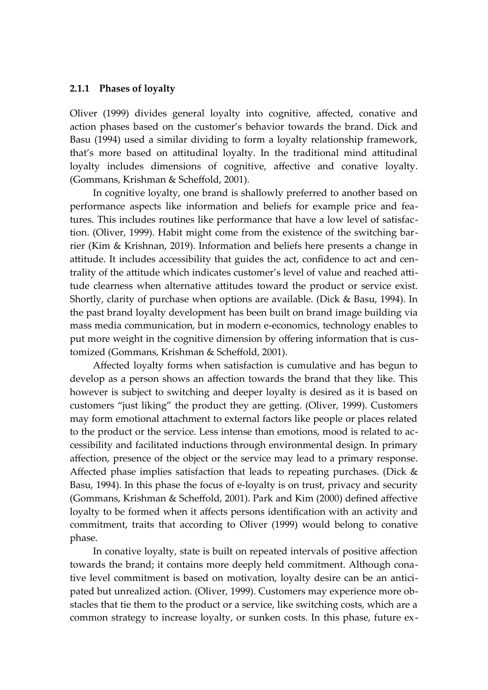#### <span id="page-12-0"></span>**2.1.1 Phases of loyalty**

Oliver (1999) divides general loyalty into cognitive, affected, conative and action phases based on the customer's behavior towards the brand. Dick and Basu (1994) used a similar dividing to form a loyalty relationship framework, that's more based on attitudinal loyalty. In the traditional mind attitudinal loyalty includes dimensions of cognitive, affective and conative loyalty. (Gommans, Krishman & Scheffold, 2001).

In cognitive loyalty, one brand is shallowly preferred to another based on performance aspects like information and beliefs for example price and features. This includes routines like performance that have a low level of satisfaction. (Oliver, 1999). Habit might come from the existence of the switching barrier (Kim & Krishnan, 2019). Information and beliefs here presents a change in attitude. It includes accessibility that guides the act, confidence to act and centrality of the attitude which indicates customer's level of value and reached attitude clearness when alternative attitudes toward the product or service exist. Shortly, clarity of purchase when options are available. (Dick & Basu, 1994). In the past brand loyalty development has been built on brand image building via mass media communication, but in modern e-economics, technology enables to put more weight in the cognitive dimension by offering information that is customized (Gommans, Krishman & Scheffold, 2001).

Affected loyalty forms when satisfaction is cumulative and has begun to develop as a person shows an affection towards the brand that they like. This however is subject to switching and deeper loyalty is desired as it is based on customers "just liking" the product they are getting. (Oliver, 1999). Customers may form emotional attachment to external factors like people or places related to the product or the service. Less intense than emotions, mood is related to accessibility and facilitated inductions through environmental design. In primary affection, presence of the object or the service may lead to a primary response. Affected phase implies satisfaction that leads to repeating purchases. (Dick  $\&$ Basu, 1994). In this phase the focus of e-loyalty is on trust, privacy and security (Gommans, Krishman & Scheffold, 2001). Park and Kim (2000) defined affective loyalty to be formed when it affects persons identification with an activity and commitment, traits that according to Oliver (1999) would belong to conative phase.

In conative loyalty, state is built on repeated intervals of positive affection towards the brand; it contains more deeply held commitment. Although conative level commitment is based on motivation, loyalty desire can be an anticipated but unrealized action. (Oliver, 1999). Customers may experience more obstacles that tie them to the product or a service, like switching costs, which are a common strategy to increase loyalty, or sunken costs. In this phase, future ex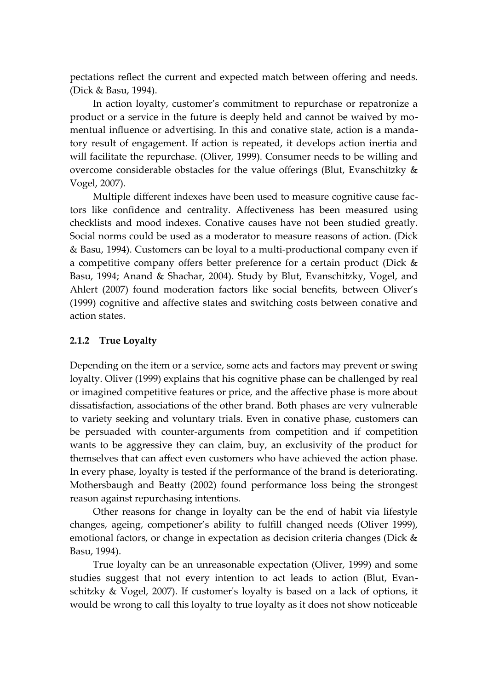pectations reflect the current and expected match between offering and needs. (Dick & Basu, 1994).

In action loyalty, customer's commitment to repurchase or repatronize a product or a service in the future is deeply held and cannot be waived by momentual influence or advertising. In this and conative state, action is a mandatory result of engagement. If action is repeated, it develops action inertia and will facilitate the repurchase. (Oliver, 1999). Consumer needs to be willing and overcome considerable obstacles for the value offerings (Blut, Evanschitzky & Vogel, 2007).

Multiple different indexes have been used to measure cognitive cause factors like confidence and centrality. Affectiveness has been measured using checklists and mood indexes. Conative causes have not been studied greatly. Social norms could be used as a moderator to measure reasons of action. (Dick & Basu, 1994). Customers can be loyal to a multi-productional company even if a competitive company offers better preference for a certain product (Dick & Basu, 1994; Anand & Shachar, 2004). Study by Blut, Evanschitzky, Vogel, and Ahlert (2007) found moderation factors like social benefits, between Oliver's (1999) cognitive and affective states and switching costs between conative and action states.

#### <span id="page-13-0"></span>**2.1.2 True Loyalty**

Depending on the item or a service, some acts and factors may prevent or swing loyalty. Oliver (1999) explains that his cognitive phase can be challenged by real or imagined competitive features or price, and the affective phase is more about dissatisfaction, associations of the other brand. Both phases are very vulnerable to variety seeking and voluntary trials. Even in conative phase, customers can be persuaded with counter-arguments from competition and if competition wants to be aggressive they can claim, buy, an exclusivity of the product for themselves that can affect even customers who have achieved the action phase. In every phase, loyalty is tested if the performance of the brand is deteriorating. Mothersbaugh and Beatty (2002) found performance loss being the strongest reason against repurchasing intentions.

Other reasons for change in loyalty can be the end of habit via lifestyle changes, ageing, competioner's ability to fulfill changed needs (Oliver 1999), emotional factors, or change in expectation as decision criteria changes (Dick & Basu, 1994).

True loyalty can be an unreasonable expectation (Oliver, 1999) and some studies suggest that not every intention to act leads to action (Blut, Evanschitzky & Vogel, 2007). If customer's loyalty is based on a lack of options, it would be wrong to call this loyalty to true loyalty as it does not show noticeable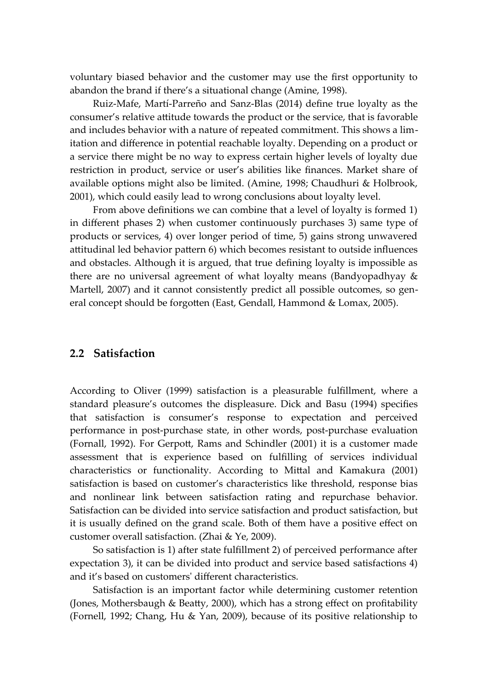voluntary biased behavior and the customer may use the first opportunity to abandon the brand if there's a situational change (Amine, 1998).

Ruiz-Mafe, Martí-Parreño and Sanz-Blas (2014) define true loyalty as the consumer's relative attitude towards the product or the service, that is favorable and includes behavior with a nature of repeated commitment. This shows a limitation and difference in potential reachable loyalty. Depending on a product or a service there might be no way to express certain higher levels of loyalty due restriction in product, service or user's abilities like finances. Market share of available options might also be limited. (Amine, 1998; Chaudhuri & Holbrook, 2001), which could easily lead to wrong conclusions about loyalty level.

From above definitions we can combine that a level of loyalty is formed 1) in different phases 2) when customer continuously purchases 3) same type of products or services, 4) over longer period of time, 5) gains strong unwavered attitudinal led behavior pattern 6) which becomes resistant to outside influences and obstacles. Although it is argued, that true defining loyalty is impossible as there are no universal agreement of what loyalty means (Bandyopadhyay & Martell, 2007) and it cannot consistently predict all possible outcomes, so general concept should be forgotten (East, Gendall, Hammond & Lomax, 2005).

#### <span id="page-14-0"></span>**2.2 Satisfaction**

According to Oliver (1999) satisfaction is a pleasurable fulfillment, where a standard pleasure's outcomes the displeasure. Dick and Basu (1994) specifies that satisfaction is consumer's response to expectation and perceived performance in post-purchase state, in other words, post-purchase evaluation (Fornall, 1992). For Gerpott, Rams and Schindler (2001) it is a customer made assessment that is experience based on fulfilling of services individual characteristics or functionality. According to Mittal and Kamakura (2001) satisfaction is based on customer's characteristics like threshold, response bias and nonlinear link between satisfaction rating and repurchase behavior. Satisfaction can be divided into service satisfaction and product satisfaction, but it is usually defined on the grand scale. Both of them have a positive effect on customer overall satisfaction. (Zhai & Ye, 2009).

So satisfaction is 1) after state fulfillment 2) of perceived performance after expectation 3), it can be divided into product and service based satisfactions 4) and it's based on customers' different characteristics.

Satisfaction is an important factor while determining customer retention (Jones, Mothersbaugh & Beatty, 2000), which has a strong effect on profitability (Fornell, 1992; Chang, Hu & Yan, 2009), because of its positive relationship to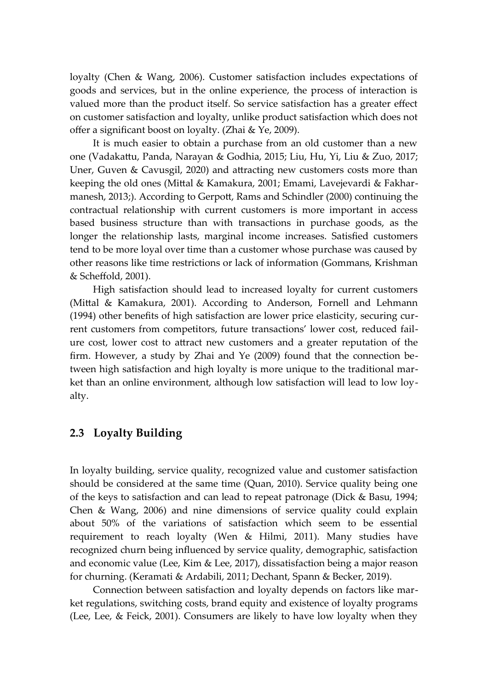loyalty (Chen & Wang, 2006). Customer satisfaction includes expectations of goods and services, but in the online experience, the process of interaction is valued more than the product itself. So service satisfaction has a greater effect on customer satisfaction and loyalty, unlike product satisfaction which does not offer a significant boost on loyalty. (Zhai & Ye, 2009).

It is much easier to obtain a purchase from an old customer than a new one (Vadakattu, Panda, Narayan & Godhia, 2015; Liu, Hu, Yi, Liu & Zuo, 2017; Uner, Guven & Cavusgil, 2020) and attracting new customers costs more than keeping the old ones (Mittal & Kamakura, 2001; Emami, Lavejevardi & Fakharmanesh, 2013;). According to Gerpott, Rams and Schindler (2000) continuing the contractual relationship with current customers is more important in access based business structure than with transactions in purchase goods, as the longer the relationship lasts, marginal income increases. Satisfied customers tend to be more loyal over time than a customer whose purchase was caused by other reasons like time restrictions or lack of information (Gommans, Krishman & Scheffold, 2001).

High satisfaction should lead to increased loyalty for current customers (Mittal & Kamakura, 2001). According to Anderson, Fornell and Lehmann (1994) other benefits of high satisfaction are lower price elasticity, securing current customers from competitors, future transactions' lower cost, reduced failure cost, lower cost to attract new customers and a greater reputation of the firm. However, a study by Zhai and Ye (2009) found that the connection between high satisfaction and high loyalty is more unique to the traditional market than an online environment, although low satisfaction will lead to low loyalty.

#### <span id="page-15-0"></span>**2.3 Loyalty Building**

In loyalty building, service quality, recognized value and customer satisfaction should be considered at the same time (Quan, 2010). Service quality being one of the keys to satisfaction and can lead to repeat patronage (Dick & Basu, 1994; Chen & Wang, 2006) and nine dimensions of service quality could explain about 50% of the variations of satisfaction which seem to be essential requirement to reach loyalty (Wen & Hilmi, 2011). Many studies have recognized churn being influenced by service quality, demographic, satisfaction and economic value (Lee, Kim & Lee, 2017), dissatisfaction being a major reason for churning. (Keramati & Ardabili, 2011; Dechant, Spann & Becker, 2019).

Connection between satisfaction and loyalty depends on factors like market regulations, switching costs, brand equity and existence of loyalty programs (Lee, Lee, & Feick, 2001). Consumers are likely to have low loyalty when they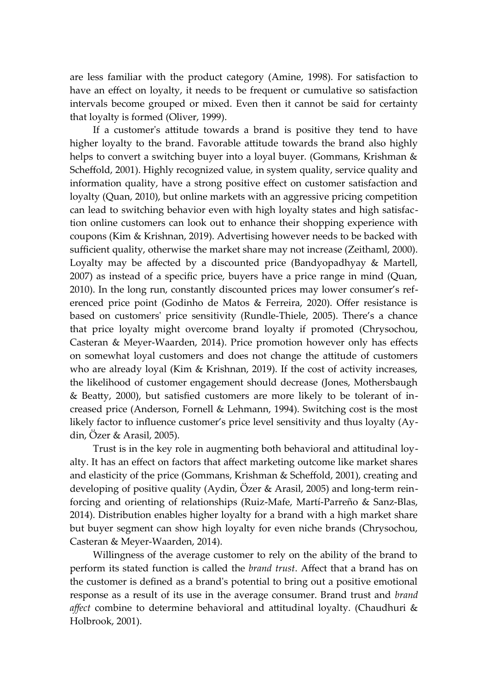are less familiar with the product category (Amine, 1998). For satisfaction to have an effect on loyalty, it needs to be frequent or cumulative so satisfaction intervals become grouped or mixed. Even then it cannot be said for certainty that loyalty is formed (Oliver, 1999).

If a customer's attitude towards a brand is positive they tend to have higher loyalty to the brand. Favorable attitude towards the brand also highly helps to convert a switching buyer into a loyal buyer. (Gommans, Krishman & Scheffold, 2001). Highly recognized value, in system quality, service quality and information quality, have a strong positive effect on customer satisfaction and loyalty (Quan, 2010), but online markets with an aggressive pricing competition can lead to switching behavior even with high loyalty states and high satisfaction online customers can look out to enhance their shopping experience with coupons (Kim & Krishnan, 2019). Advertising however needs to be backed with sufficient quality, otherwise the market share may not increase (Zeithaml, 2000). Loyalty may be affected by a discounted price (Bandyopadhyay & Martell, 2007) as instead of a specific price, buyers have a price range in mind (Quan, 2010). In the long run, constantly discounted prices may lower consumer's referenced price point (Godinho de Matos & Ferreira, 2020). Offer resistance is based on customers' price sensitivity (Rundle-Thiele, 2005). There's a chance that price loyalty might overcome brand loyalty if promoted (Chrysochou, Casteran & Meyer-Waarden, 2014). Price promotion however only has effects on somewhat loyal customers and does not change the attitude of customers who are already loyal (Kim & Krishnan, 2019). If the cost of activity increases, the likelihood of customer engagement should decrease (Jones, Mothersbaugh & Beatty, 2000), but satisfied customers are more likely to be tolerant of increased price (Anderson, Fornell & Lehmann, 1994). Switching cost is the most likely factor to influence customer's price level sensitivity and thus loyalty (Aydin, Özer & Arasil, 2005).

Trust is in the key role in augmenting both behavioral and attitudinal loyalty. It has an effect on factors that affect marketing outcome like market shares and elasticity of the price (Gommans, Krishman & Scheffold, 2001), creating and developing of positive quality (Aydin, Özer & Arasil, 2005) and long-term reinforcing and orienting of relationships (Ruiz-Mafe, Martí-Parreño & Sanz-Blas, 2014). Distribution enables higher loyalty for a brand with a high market share but buyer segment can show high loyalty for even niche brands (Chrysochou, Casteran & Meyer-Waarden, 2014).

Willingness of the average customer to rely on the ability of the brand to perform its stated function is called the *brand trust*. Affect that a brand has on the customer is defined as a brand's potential to bring out a positive emotional response as a result of its use in the average consumer. Brand trust and *brand affect* combine to determine behavioral and attitudinal loyalty. (Chaudhuri & Holbrook, 2001).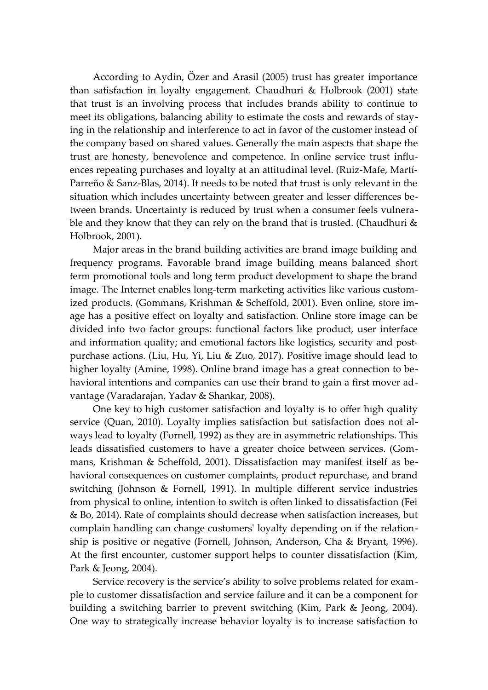According to Aydin, Özer and Arasil (2005) trust has greater importance than satisfaction in loyalty engagement. Chaudhuri & Holbrook (2001) state that trust is an involving process that includes brands ability to continue to meet its obligations, balancing ability to estimate the costs and rewards of staying in the relationship and interference to act in favor of the customer instead of the company based on shared values. Generally the main aspects that shape the trust are honesty, benevolence and competence. In online service trust influences repeating purchases and loyalty at an attitudinal level. (Ruiz-Mafe, Martí-Parreño & Sanz-Blas, 2014). It needs to be noted that trust is only relevant in the situation which includes uncertainty between greater and lesser differences between brands. Uncertainty is reduced by trust when a consumer feels vulnerable and they know that they can rely on the brand that is trusted. (Chaudhuri  $\&$ Holbrook, 2001).

Major areas in the brand building activities are brand image building and frequency programs. Favorable brand image building means balanced short term promotional tools and long term product development to shape the brand image. The Internet enables long-term marketing activities like various customized products. (Gommans, Krishman & Scheffold, 2001). Even online, store image has a positive effect on loyalty and satisfaction. Online store image can be divided into two factor groups: functional factors like product, user interface and information quality; and emotional factors like logistics, security and postpurchase actions. (Liu, Hu, Yi, Liu & Zuo, 2017). Positive image should lead to higher loyalty (Amine, 1998). Online brand image has a great connection to behavioral intentions and companies can use their brand to gain a first mover advantage (Varadarajan, Yadav & Shankar, 2008).

One key to high customer satisfaction and loyalty is to offer high quality service (Quan, 2010). Loyalty implies satisfaction but satisfaction does not always lead to loyalty (Fornell, 1992) as they are in asymmetric relationships. This leads dissatisfied customers to have a greater choice between services. (Gommans, Krishman & Scheffold, 2001). Dissatisfaction may manifest itself as behavioral consequences on customer complaints, product repurchase, and brand switching (Johnson & Fornell, 1991). In multiple different service industries from physical to online, intention to switch is often linked to dissatisfaction (Fei & Bo, 2014). Rate of complaints should decrease when satisfaction increases, but complain handling can change customers' loyalty depending on if the relationship is positive or negative (Fornell, Johnson, Anderson, Cha & Bryant, 1996). At the first encounter, customer support helps to counter dissatisfaction (Kim, Park & Jeong, 2004).

Service recovery is the service's ability to solve problems related for example to customer dissatisfaction and service failure and it can be a component for building a switching barrier to prevent switching (Kim, Park & Jeong, 2004). One way to strategically increase behavior loyalty is to increase satisfaction to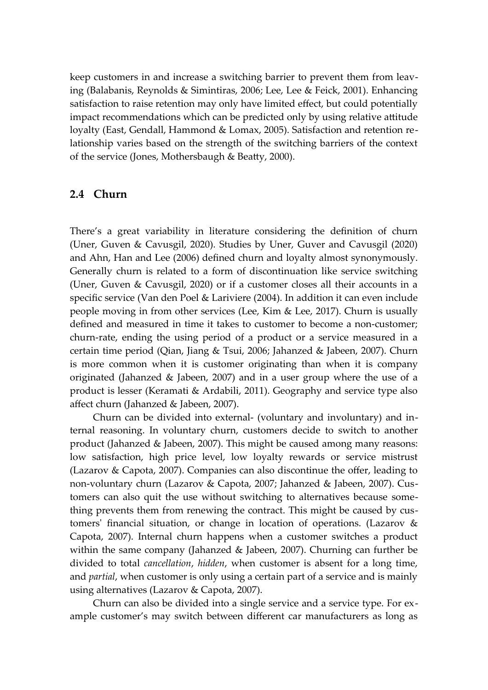keep customers in and increase a switching barrier to prevent them from leaving (Balabanis, Reynolds & Simintiras, 2006; Lee, Lee & Feick, 2001). Enhancing satisfaction to raise retention may only have limited effect, but could potentially impact recommendations which can be predicted only by using relative attitude loyalty (East, Gendall, Hammond & Lomax, 2005). Satisfaction and retention relationship varies based on the strength of the switching barriers of the context of the service (Jones, Mothersbaugh & Beatty, 2000).

#### <span id="page-18-0"></span>**2.4 Churn**

There's a great variability in literature considering the definition of churn (Uner, Guven & Cavusgil, 2020). Studies by Uner, Guver and Cavusgil (2020) and Ahn, Han and Lee (2006) defined churn and loyalty almost synonymously. Generally churn is related to a form of discontinuation like service switching (Uner, Guven & Cavusgil, 2020) or if a customer closes all their accounts in a specific service (Van den Poel & Lariviere (2004). In addition it can even include people moving in from other services (Lee, Kim & Lee, 2017). Churn is usually defined and measured in time it takes to customer to become a non-customer; churn-rate, ending the using period of a product or a service measured in a certain time period (Qian, Jiang & Tsui, 2006; Jahanzed & Jabeen, 2007). Churn is more common when it is customer originating than when it is company originated (Jahanzed & Jabeen, 2007) and in a user group where the use of a product is lesser (Keramati & Ardabili, 2011). Geography and service type also affect churn (Jahanzed & Jabeen, 2007).

Churn can be divided into external- (voluntary and involuntary) and internal reasoning. In voluntary churn, customers decide to switch to another product (Jahanzed & Jabeen, 2007). This might be caused among many reasons: low satisfaction, high price level, low loyalty rewards or service mistrust (Lazarov & Capota, 2007). Companies can also discontinue the offer, leading to non-voluntary churn (Lazarov & Capota, 2007; Jahanzed & Jabeen, 2007). Customers can also quit the use without switching to alternatives because something prevents them from renewing the contract. This might be caused by customers' financial situation, or change in location of operations. (Lazarov & Capota, 2007). Internal churn happens when a customer switches a product within the same company (Jahanzed & Jabeen, 2007). Churning can further be divided to total *cancellation*, *hidden*, when customer is absent for a long time, and *partial*, when customer is only using a certain part of a service and is mainly using alternatives (Lazarov & Capota, 2007).

Churn can also be divided into a single service and a service type. For example customer's may switch between different car manufacturers as long as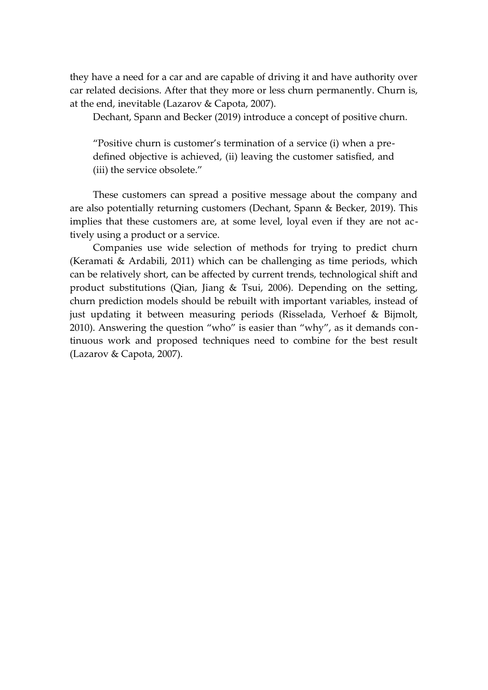they have a need for a car and are capable of driving it and have authority over car related decisions. After that they more or less churn permanently. Churn is, at the end, inevitable (Lazarov & Capota, 2007).

Dechant, Spann and Becker (2019) introduce a concept of positive churn.

"Positive churn is customer's termination of a service (i) when a predefined objective is achieved, (ii) leaving the customer satisfied, and (iii) the service obsolete."

These customers can spread a positive message about the company and are also potentially returning customers (Dechant, Spann & Becker, 2019). This implies that these customers are, at some level, loyal even if they are not actively using a product or a service.

Companies use wide selection of methods for trying to predict churn (Keramati & Ardabili, 2011) which can be challenging as time periods, which can be relatively short, can be affected by current trends, technological shift and product substitutions (Qian, Jiang & Tsui, 2006). Depending on the setting, churn prediction models should be rebuilt with important variables, instead of just updating it between measuring periods (Risselada, Verhoef & Bijmolt, 2010). Answering the question "who" is easier than "why", as it demands continuous work and proposed techniques need to combine for the best result (Lazarov & Capota, 2007).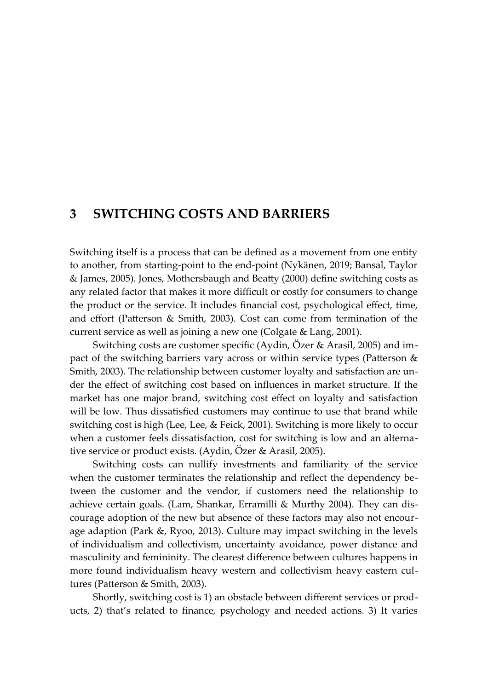### <span id="page-20-0"></span>**3 SWITCHING COSTS AND BARRIERS**

Switching itself is a process that can be defined as a movement from one entity to another, from starting-point to the end-point (Nykänen, 2019; Bansal, Taylor & James, 2005). Jones, Mothersbaugh and Beatty (2000) define switching costs as any related factor that makes it more difficult or costly for consumers to change the product or the service. It includes financial cost, psychological effect, time, and effort (Patterson & Smith, 2003). Cost can come from termination of the current service as well as joining a new one (Colgate & Lang, 2001).

Switching costs are customer specific (Aydin, Özer & Arasil, 2005) and impact of the switching barriers vary across or within service types (Patterson & Smith, 2003). The relationship between customer loyalty and satisfaction are under the effect of switching cost based on influences in market structure. If the market has one major brand, switching cost effect on loyalty and satisfaction will be low. Thus dissatisfied customers may continue to use that brand while switching cost is high (Lee, Lee, & Feick, 2001). Switching is more likely to occur when a customer feels dissatisfaction, cost for switching is low and an alternative service or product exists. (Aydin, Özer & Arasil, 2005).

Switching costs can nullify investments and familiarity of the service when the customer terminates the relationship and reflect the dependency between the customer and the vendor, if customers need the relationship to achieve certain goals. (Lam, Shankar, Erramilli & Murthy 2004). They can discourage adoption of the new but absence of these factors may also not encourage adaption (Park &, Ryoo, 2013). Culture may impact switching in the levels of individualism and collectivism, uncertainty avoidance, power distance and masculinity and femininity. The clearest difference between cultures happens in more found individualism heavy western and collectivism heavy eastern cultures (Patterson & Smith, 2003).

Shortly, switching cost is 1) an obstacle between different services or products, 2) that's related to finance, psychology and needed actions. 3) It varies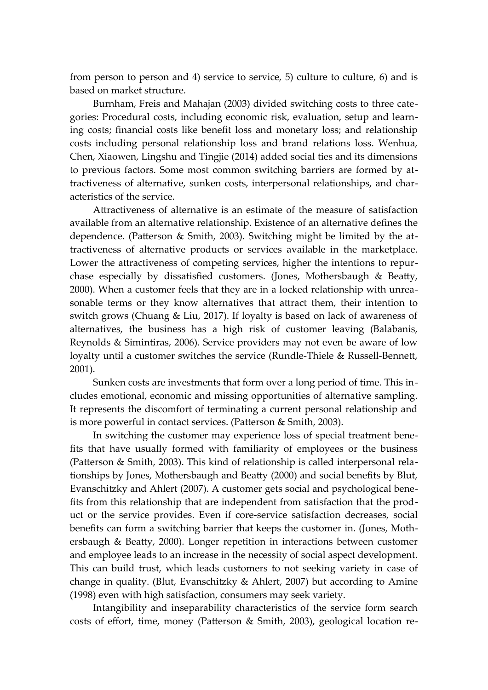from person to person and 4) service to service, 5) culture to culture, 6) and is based on market structure.

Burnham, Freis and Mahajan (2003) divided switching costs to three categories: Procedural costs, including economic risk, evaluation, setup and learning costs; financial costs like benefit loss and monetary loss; and relationship costs including personal relationship loss and brand relations loss. Wenhua, Chen, Xiaowen, Lingshu and Tingjie (2014) added social ties and its dimensions to previous factors. Some most common switching barriers are formed by attractiveness of alternative, sunken costs, interpersonal relationships, and characteristics of the service.

Attractiveness of alternative is an estimate of the measure of satisfaction available from an alternative relationship. Existence of an alternative defines the dependence. (Patterson & Smith, 2003). Switching might be limited by the attractiveness of alternative products or services available in the marketplace. Lower the attractiveness of competing services, higher the intentions to repurchase especially by dissatisfied customers. (Jones, Mothersbaugh & Beatty, 2000). When a customer feels that they are in a locked relationship with unreasonable terms or they know alternatives that attract them, their intention to switch grows (Chuang & Liu, 2017). If loyalty is based on lack of awareness of alternatives, the business has a high risk of customer leaving (Balabanis, Reynolds & Simintiras, 2006). Service providers may not even be aware of low loyalty until a customer switches the service (Rundle-Thiele & Russell-Bennett, 2001).

Sunken costs are investments that form over a long period of time. This includes emotional, economic and missing opportunities of alternative sampling. It represents the discomfort of terminating a current personal relationship and is more powerful in contact services. (Patterson & Smith, 2003).

In switching the customer may experience loss of special treatment benefits that have usually formed with familiarity of employees or the business (Patterson & Smith, 2003). This kind of relationship is called interpersonal relationships by Jones, Mothersbaugh and Beatty (2000) and social benefits by Blut, Evanschitzky and Ahlert (2007). A customer gets social and psychological benefits from this relationship that are independent from satisfaction that the product or the service provides. Even if core-service satisfaction decreases, social benefits can form a switching barrier that keeps the customer in. (Jones, Mothersbaugh & Beatty, 2000). Longer repetition in interactions between customer and employee leads to an increase in the necessity of social aspect development. This can build trust, which leads customers to not seeking variety in case of change in quality. (Blut, Evanschitzky & Ahlert, 2007) but according to Amine (1998) even with high satisfaction, consumers may seek variety.

Intangibility and inseparability characteristics of the service form search costs of effort, time, money (Patterson & Smith, 2003), geological location re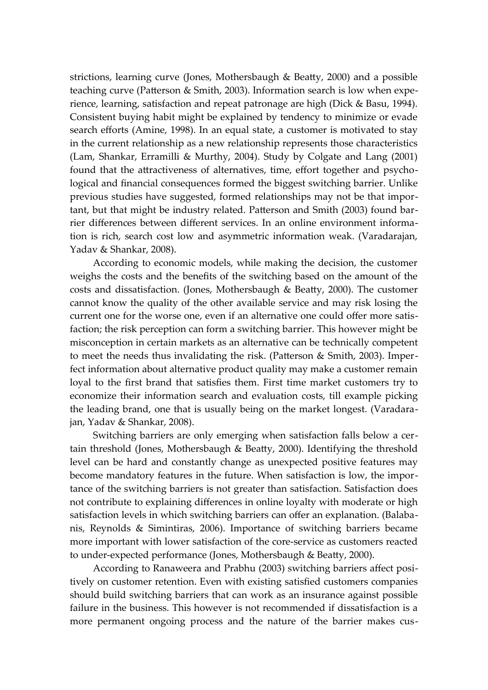strictions, learning curve (Jones, Mothersbaugh & Beatty, 2000) and a possible teaching curve (Patterson & Smith, 2003). Information search is low when experience, learning, satisfaction and repeat patronage are high (Dick & Basu, 1994). Consistent buying habit might be explained by tendency to minimize or evade search efforts (Amine, 1998). In an equal state, a customer is motivated to stay in the current relationship as a new relationship represents those characteristics (Lam, Shankar, Erramilli & Murthy, 2004). Study by Colgate and Lang (2001) found that the attractiveness of alternatives, time, effort together and psychological and financial consequences formed the biggest switching barrier. Unlike previous studies have suggested, formed relationships may not be that important, but that might be industry related. Patterson and Smith (2003) found barrier differences between different services. In an online environment information is rich, search cost low and asymmetric information weak. (Varadarajan, Yadav & Shankar, 2008).

According to economic models, while making the decision, the customer weighs the costs and the benefits of the switching based on the amount of the costs and dissatisfaction. (Jones, Mothersbaugh & Beatty, 2000). The customer cannot know the quality of the other available service and may risk losing the current one for the worse one, even if an alternative one could offer more satisfaction; the risk perception can form a switching barrier. This however might be misconception in certain markets as an alternative can be technically competent to meet the needs thus invalidating the risk. (Patterson & Smith, 2003). Imperfect information about alternative product quality may make a customer remain loyal to the first brand that satisfies them. First time market customers try to economize their information search and evaluation costs, till example picking the leading brand, one that is usually being on the market longest. (Varadarajan, Yadav & Shankar, 2008).

Switching barriers are only emerging when satisfaction falls below a certain threshold (Jones, Mothersbaugh & Beatty, 2000). Identifying the threshold level can be hard and constantly change as unexpected positive features may become mandatory features in the future. When satisfaction is low, the importance of the switching barriers is not greater than satisfaction. Satisfaction does not contribute to explaining differences in online loyalty with moderate or high satisfaction levels in which switching barriers can offer an explanation. (Balabanis, Reynolds & Simintiras, 2006). Importance of switching barriers became more important with lower satisfaction of the core-service as customers reacted to under-expected performance (Jones, Mothersbaugh & Beatty, 2000).

According to Ranaweera and Prabhu (2003) switching barriers affect positively on customer retention. Even with existing satisfied customers companies should build switching barriers that can work as an insurance against possible failure in the business. This however is not recommended if dissatisfaction is a more permanent ongoing process and the nature of the barrier makes cus-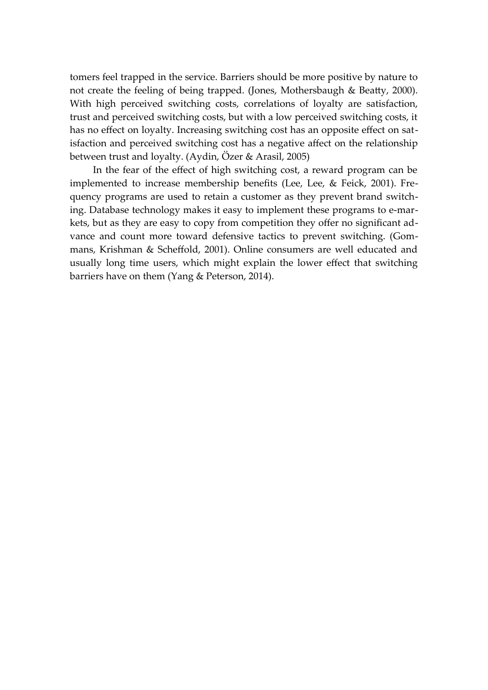tomers feel trapped in the service. Barriers should be more positive by nature to not create the feeling of being trapped. (Jones, Mothersbaugh & Beatty, 2000). With high perceived switching costs, correlations of loyalty are satisfaction, trust and perceived switching costs, but with a low perceived switching costs, it has no effect on loyalty. Increasing switching cost has an opposite effect on satisfaction and perceived switching cost has a negative affect on the relationship between trust and loyalty. (Aydin, Özer & Arasil, 2005)

In the fear of the effect of high switching cost, a reward program can be implemented to increase membership benefits (Lee, Lee, & Feick, 2001). Frequency programs are used to retain a customer as they prevent brand switching. Database technology makes it easy to implement these programs to e-markets, but as they are easy to copy from competition they offer no significant advance and count more toward defensive tactics to prevent switching. (Gommans, Krishman & Scheffold, 2001). Online consumers are well educated and usually long time users, which might explain the lower effect that switching barriers have on them (Yang & Peterson, 2014).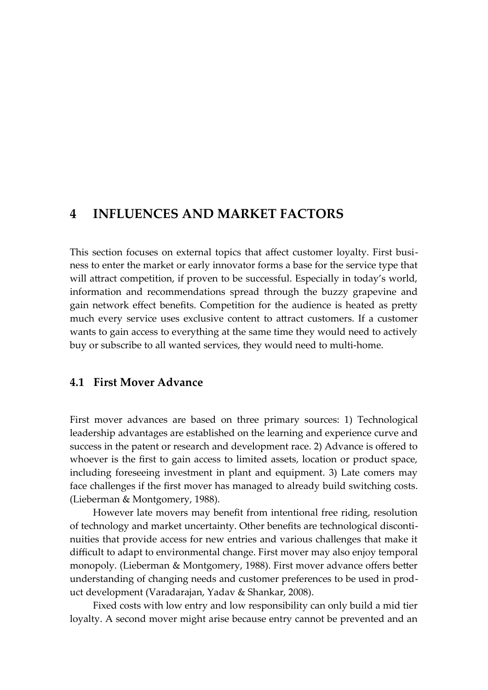### <span id="page-24-1"></span>**4 INFLUENCES AND MARKET FACTORS**

This section focuses on external topics that affect customer loyalty. First business to enter the market or early innovator forms a base for the service type that will attract competition, if proven to be successful. Especially in today's world, information and recommendations spread through the buzzy grapevine and gain network effect benefits. Competition for the audience is heated as pretty much every service uses exclusive content to attract customers. If a customer wants to gain access to everything at the same time they would need to actively buy or subscribe to all wanted services, they would need to multi-home.

#### <span id="page-24-0"></span>**4.1 First Mover Advance**

First mover advances are based on three primary sources: 1) Technological leadership advantages are established on the learning and experience curve and success in the patent or research and development race. 2) Advance is offered to whoever is the first to gain access to limited assets, location or product space, including foreseeing investment in plant and equipment. 3) Late comers may face challenges if the first mover has managed to already build switching costs. (Lieberman & Montgomery, 1988).

However late movers may benefit from intentional free riding, resolution of technology and market uncertainty. Other benefits are technological discontinuities that provide access for new entries and various challenges that make it difficult to adapt to environmental change. First mover may also enjoy temporal monopoly. (Lieberman & Montgomery, 1988). First mover advance offers better understanding of changing needs and customer preferences to be used in product development (Varadarajan, Yadav & Shankar, 2008).

Fixed costs with low entry and low responsibility can only build a mid tier loyalty. A second mover might arise because entry cannot be prevented and an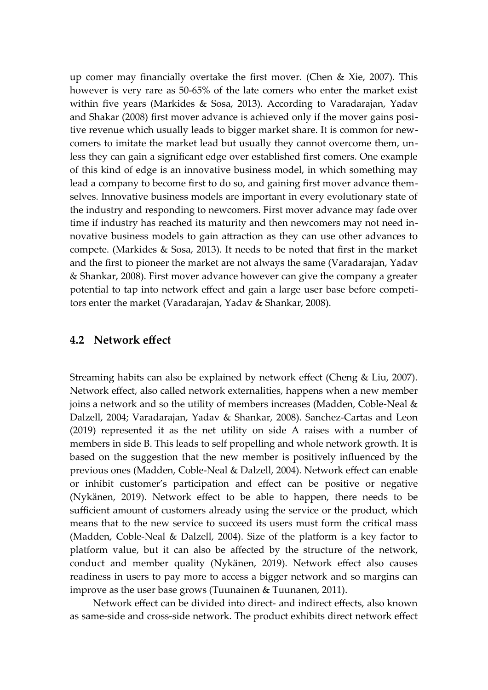up comer may financially overtake the first mover. (Chen & Xie, 2007). This however is very rare as 50-65% of the late comers who enter the market exist within five years (Markides & Sosa, 2013). According to Varadarajan, Yadav and Shakar (2008) first mover advance is achieved only if the mover gains positive revenue which usually leads to bigger market share. It is common for newcomers to imitate the market lead but usually they cannot overcome them, unless they can gain a significant edge over established first comers. One example of this kind of edge is an innovative business model, in which something may lead a company to become first to do so, and gaining first mover advance themselves. Innovative business models are important in every evolutionary state of the industry and responding to newcomers. First mover advance may fade over time if industry has reached its maturity and then newcomers may not need innovative business models to gain attraction as they can use other advances to compete. (Markides & Sosa, 2013). It needs to be noted that first in the market and the first to pioneer the market are not always the same (Varadarajan, Yadav & Shankar, 2008). First mover advance however can give the company a greater potential to tap into network effect and gain a large user base before competitors enter the market (Varadarajan, Yadav & Shankar, 2008).

#### <span id="page-25-0"></span>**4.2 Network effect**

Streaming habits can also be explained by network effect (Cheng & Liu, 2007). Network effect, also called network externalities, happens when a new member joins a network and so the utility of members increases (Madden, Coble-Neal & Dalzell, 2004; Varadarajan, Yadav & Shankar, 2008). Sanchez-Cartas and Leon (2019) represented it as the net utility on side A raises with a number of members in side B. This leads to self propelling and whole network growth. It is based on the suggestion that the new member is positively influenced by the previous ones (Madden, Coble-Neal & Dalzell, 2004). Network effect can enable or inhibit customer's participation and effect can be positive or negative (Nykänen, 2019). Network effect to be able to happen, there needs to be sufficient amount of customers already using the service or the product, which means that to the new service to succeed its users must form the critical mass (Madden, Coble-Neal & Dalzell, 2004). Size of the platform is a key factor to platform value, but it can also be affected by the structure of the network, conduct and member quality (Nykänen, 2019). Network effect also causes readiness in users to pay more to access a bigger network and so margins can improve as the user base grows (Tuunainen & Tuunanen, 2011).

Network effect can be divided into direct- and indirect effects, also known as same-side and cross-side network. The product exhibits direct network effect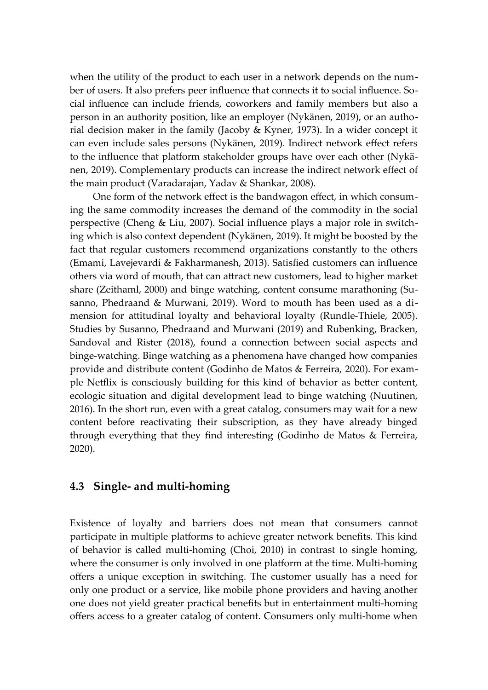when the utility of the product to each user in a network depends on the number of users. It also prefers peer influence that connects it to social influence. Social influence can include friends, coworkers and family members but also a person in an authority position, like an employer (Nykänen, 2019), or an authorial decision maker in the family (Jacoby & Kyner, 1973). In a wider concept it can even include sales persons (Nykänen, 2019). Indirect network effect refers to the influence that platform stakeholder groups have over each other (Nykänen, 2019). Complementary products can increase the indirect network effect of the main product (Varadarajan, Yadav & Shankar, 2008).

One form of the network effect is the bandwagon effect, in which consuming the same commodity increases the demand of the commodity in the social perspective (Cheng & Liu, 2007). Social influence plays a major role in switching which is also context dependent (Nykänen, 2019). It might be boosted by the fact that regular customers recommend organizations constantly to the others (Emami, Lavejevardi & Fakharmanesh, 2013). Satisfied customers can influence others via word of mouth, that can attract new customers, lead to higher market share (Zeithaml, 2000) and binge watching, content consume marathoning (Susanno, Phedraand & Murwani, 2019). Word to mouth has been used as a dimension for attitudinal loyalty and behavioral loyalty (Rundle-Thiele, 2005). Studies by Susanno, Phedraand and Murwani (2019) and Rubenking, Bracken, Sandoval and Rister (2018), found a connection between social aspects and binge-watching. Binge watching as a phenomena have changed how companies provide and distribute content (Godinho de Matos & Ferreira, 2020). For example Netflix is consciously building for this kind of behavior as better content, ecologic situation and digital development lead to binge watching (Nuutinen, 2016). In the short run, even with a great catalog, consumers may wait for a new content before reactivating their subscription, as they have already binged through everything that they find interesting (Godinho de Matos & Ferreira, 2020).

#### <span id="page-26-0"></span>**4.3 Single- and multi-homing**

Existence of loyalty and barriers does not mean that consumers cannot participate in multiple platforms to achieve greater network benefits. This kind of behavior is called multi-homing (Choi, 2010) in contrast to single homing, where the consumer is only involved in one platform at the time. Multi-homing offers a unique exception in switching. The customer usually has a need for only one product or a service, like mobile phone providers and having another one does not yield greater practical benefits but in entertainment multi-homing offers access to a greater catalog of content. Consumers only multi-home when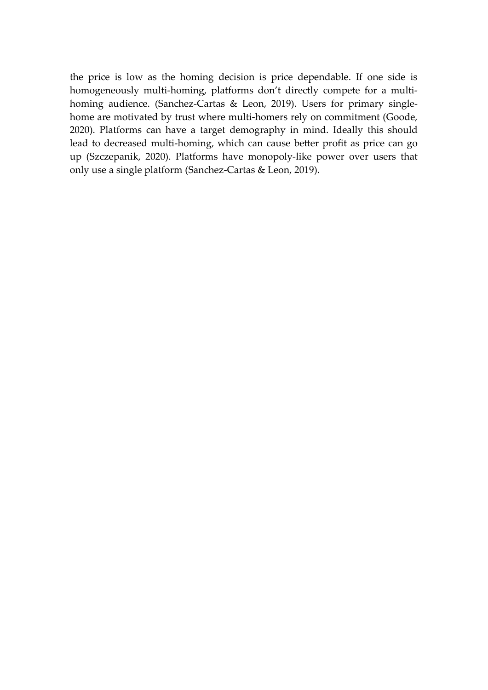the price is low as the homing decision is price dependable. If one side is homogeneously multi-homing, platforms don't directly compete for a multihoming audience. (Sanchez-Cartas & Leon, 2019). Users for primary singlehome are motivated by trust where multi-homers rely on commitment (Goode, 2020). Platforms can have a target demography in mind. Ideally this should lead to decreased multi-homing, which can cause better profit as price can go up (Szczepanik, 2020). Platforms have monopoly-like power over users that only use a single platform (Sanchez-Cartas & Leon, 2019).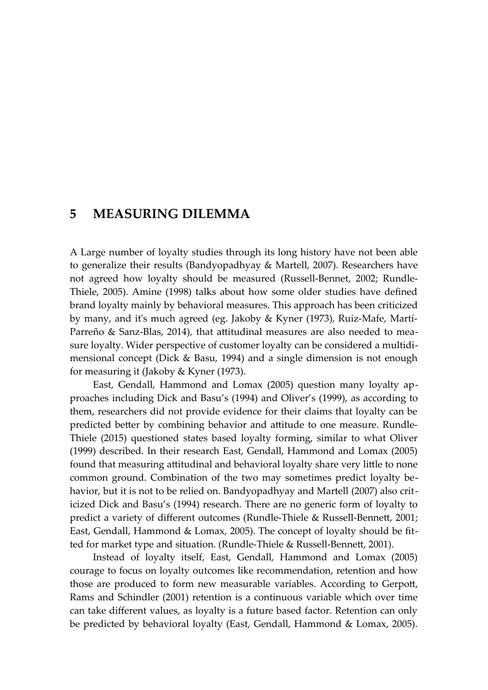### <span id="page-28-0"></span>**5 MEASURING DILEMMA**

A Large number of loyalty studies through its long history have not been able to generalize their results (Bandyopadhyay & Martell, 2007). Researchers have not agreed how loyalty should be measured (Russell-Bennet, 2002; Rundle-Thiele, 2005). Amine (1998) talks about how some older studies have defined brand loyalty mainly by behavioral measures. This approach has been criticized by many, and it's much agreed (eg. Jakoby & Kyner (1973), Ruiz-Mafe, Martí-Parreño & Sanz-Blas, 2014), that attitudinal measures are also needed to measure loyalty. Wider perspective of customer loyalty can be considered a multidimensional concept (Dick & Basu, 1994) and a single dimension is not enough for measuring it (Jakoby & Kyner (1973).

East, Gendall, Hammond and Lomax (2005) question many loyalty approaches including Dick and Basu's (1994) and Oliver's (1999), as according to them, researchers did not provide evidence for their claims that loyalty can be predicted better by combining behavior and attitude to one measure. Rundle-Thiele (2015) questioned states based loyalty forming, similar to what Oliver (1999) described. In their research East, Gendall, Hammond and Lomax (2005) found that measuring attitudinal and behavioral loyalty share very little to none common ground. Combination of the two may sometimes predict loyalty behavior, but it is not to be relied on. Bandyopadhyay and Martell (2007) also criticized Dick and Basu's (1994) research. There are no generic form of loyalty to predict a variety of different outcomes (Rundle-Thiele & Russell-Bennett, 2001; East, Gendall, Hammond & Lomax, 2005). The concept of loyalty should be fitted for market type and situation. (Rundle-Thiele & Russell-Bennett, 2001).

Instead of loyalty itself, East, Gendall, Hammond and Lomax (2005) courage to focus on loyalty outcomes like recommendation, retention and how those are produced to form new measurable variables. According to Gerpott, Rams and Schindler (2001) retention is a continuous variable which over time can take different values, as loyalty is a future based factor. Retention can only be predicted by behavioral loyalty (East, Gendall, Hammond & Lomax, 2005).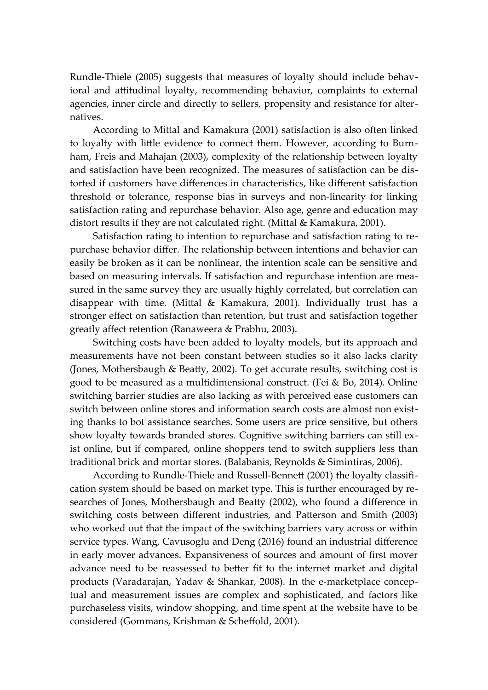Rundle-Thiele (2005) suggests that measures of loyalty should include behavioral and attitudinal loyalty, recommending behavior, complaints to external agencies, inner circle and directly to sellers, propensity and resistance for alternatives.

According to Mittal and Kamakura (2001) satisfaction is also often linked to loyalty with little evidence to connect them. However, according to Burnham, Freis and Mahajan (2003), complexity of the relationship between loyalty and satisfaction have been recognized. The measures of satisfaction can be distorted if customers have differences in characteristics, like different satisfaction threshold or tolerance, response bias in surveys and non-linearity for linking satisfaction rating and repurchase behavior. Also age, genre and education may distort results if they are not calculated right. (Mittal & Kamakura, 2001).

Satisfaction rating to intention to repurchase and satisfaction rating to repurchase behavior differ. The relationship between intentions and behavior can easily be broken as it can be nonlinear, the intention scale can be sensitive and based on measuring intervals. If satisfaction and repurchase intention are measured in the same survey they are usually highly correlated, but correlation can disappear with time. (Mittal & Kamakura, 2001). Individually trust has a stronger effect on satisfaction than retention, but trust and satisfaction together greatly affect retention (Ranaweera & Prabhu, 2003).

Switching costs have been added to loyalty models, but its approach and measurements have not been constant between studies so it also lacks clarity (Jones, Mothersbaugh & Beatty, 2002). To get accurate results, switching cost is good to be measured as a multidimensional construct. (Fei & Bo, 2014). Online switching barrier studies are also lacking as with perceived ease customers can switch between online stores and information search costs are almost non existing thanks to bot assistance searches. Some users are price sensitive, but others show loyalty towards branded stores. Cognitive switching barriers can still exist online, but if compared, online shoppers tend to switch suppliers less than traditional brick and mortar stores. (Balabanis, Reynolds & Simintiras, 2006).

According to Rundle-Thiele and Russell-Bennett (2001) the loyalty classification system should be based on market type. This is further encouraged by researches of Jones, Mothersbaugh and Beatty (2002), who found a difference in switching costs between different industries, and Patterson and Smith (2003) who worked out that the impact of the switching barriers vary across or within service types. Wang, Cavusoglu and Deng (2016) found an industrial difference in early mover advances. Expansiveness of sources and amount of first mover advance need to be reassessed to better fit to the internet market and digital products (Varadarajan, Yadav & Shankar, 2008). In the e-marketplace conceptual and measurement issues are complex and sophisticated, and factors like purchaseless visits, window shopping, and time spent at the website have to be considered (Gommans, Krishman & Scheffold, 2001).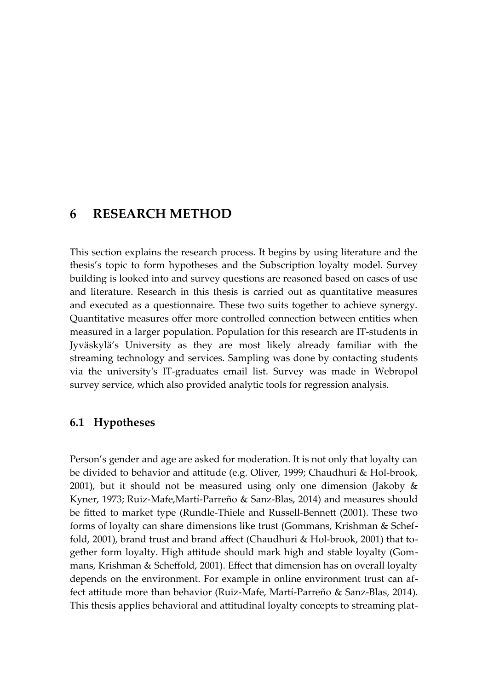### <span id="page-30-1"></span>**6 RESEARCH METHOD**

This section explains the research process. It begins by using literature and the thesis's topic to form hypotheses and the Subscription loyalty model. Survey building is looked into and survey questions are reasoned based on cases of use and literature. Research in this thesis is carried out as quantitative measures and executed as a questionnaire. These two suits together to achieve synergy. Quantitative measures offer more controlled connection between entities when measured in a larger population. Population for this research are IT-students in Jyväskylä's University as they are most likely already familiar with the streaming technology and services. Sampling was done by contacting students via the university's IT-graduates email list. Survey was made in Webropol survey service, which also provided analytic tools for regression analysis.

#### <span id="page-30-0"></span>**6.1 Hypotheses**

Person's gender and age are asked for moderation. It is not only that loyalty can be divided to behavior and attitude (e.g. Oliver, 1999; Chaudhuri & Hol-brook, 2001), but it should not be measured using only one dimension (Jakoby & Kyner, 1973; Ruiz-Mafe,Martí-Parreño & Sanz-Blas, 2014) and measures should be fitted to market type (Rundle-Thiele and Russell-Bennett (2001). These two forms of loyalty can share dimensions like trust (Gommans, Krishman & Scheffold, 2001), brand trust and brand affect (Chaudhuri & Hol-brook, 2001) that together form loyalty. High attitude should mark high and stable loyalty (Gommans, Krishman & Scheffold, 2001). Effect that dimension has on overall loyalty depends on the environment. For example in online environment trust can affect attitude more than behavior (Ruiz-Mafe, Martí-Parreño & Sanz-Blas, 2014). This thesis applies behavioral and attitudinal loyalty concepts to streaming plat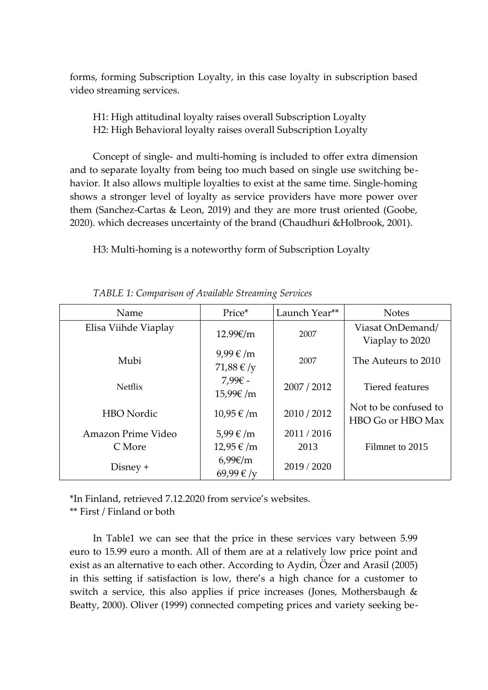forms, forming Subscription Loyalty, in this case loyalty in subscription based video streaming services.

H1: High attitudinal loyalty raises overall Subscription Loyalty H2: High Behavioral loyalty raises overall Subscription Loyalty

Concept of single- and multi-homing is included to offer extra dimension and to separate loyalty from being too much based on single use switching behavior. It also allows multiple loyalties to exist at the same time. Single-homing shows a stronger level of loyalty as service providers have more power over them (Sanchez-Cartas & Leon, 2019) and they are more trust oriented (Goobe, 2020). which decreases uncertainty of the brand (Chaudhuri &Holbrook, 2001).

H3: Multi-homing is a noteworthy form of Subscription Loyalty

| Name                 | Price*              | Launch Year** | <b>Notes</b>          |
|----------------------|---------------------|---------------|-----------------------|
| Elisa Viihde Viaplay | 12.99€/m            | 2007          | Viasat OnDemand/      |
|                      |                     |               | Viaplay to 2020       |
| Mubi                 | $9,99 \in$ /m       | 2007          | The Auteurs to 2010   |
|                      | 71,88 €/y           |               |                       |
| <b>Netflix</b>       | 7,99€ -             | 2007 / 2012   | Tiered features       |
|                      | 15,99€/m            |               |                       |
| <b>HBO</b> Nordic    | $10,95 \notin /m$   | 2010 / 2012   | Not to be confused to |
|                      |                     |               | HBO Go or HBO Max     |
| Amazon Prime Video   | 5,99 €/m            | 2011/2016     |                       |
| C More               | 12,95 €/m           | 2013          | Filmnet to 2015       |
| $Disney +$           | $6,99 \in \text{m}$ | 2019 / 2020   |                       |
|                      | 69,99 €/y           |               |                       |

<span id="page-31-0"></span>*TABLE 1: Comparison of Available Streaming Services*

\*In Finland, retrieved 7.12.2020 from service's websites. \*\* First / Finland or both

In Table1 we can see that the price in these services vary between 5.99 euro to 15.99 euro a month. All of them are at a relatively low price point and exist as an alternative to each other. According to Aydin, Özer and Arasil (2005) in this setting if satisfaction is low, there's a high chance for a customer to switch a service, this also applies if price increases (Jones, Mothersbaugh & Beatty, 2000). Oliver (1999) connected competing prices and variety seeking be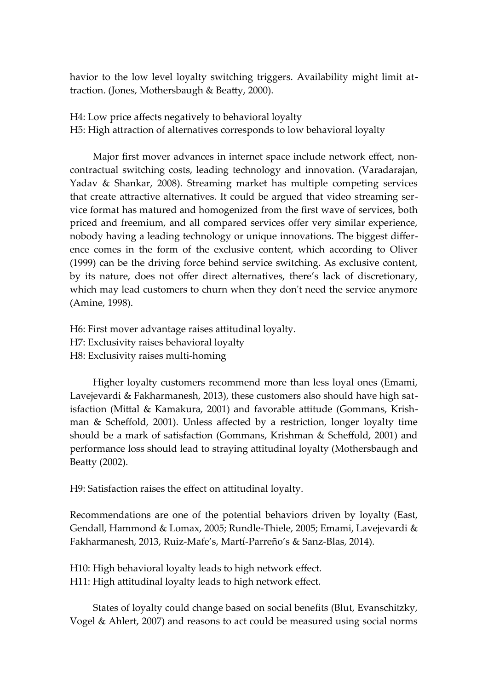havior to the low level loyalty switching triggers. Availability might limit attraction. (Jones, Mothersbaugh & Beatty, 2000).

H4: Low price affects negatively to behavioral loyalty H5: High attraction of alternatives corresponds to low behavioral loyalty

Major first mover advances in internet space include network effect, noncontractual switching costs, leading technology and innovation. (Varadarajan, Yadav & Shankar, 2008). Streaming market has multiple competing services that create attractive alternatives. It could be argued that video streaming service format has matured and homogenized from the first wave of services, both priced and freemium, and all compared services offer very similar experience, nobody having a leading technology or unique innovations. The biggest difference comes in the form of the exclusive content, which according to Oliver (1999) can be the driving force behind service switching. As exclusive content, by its nature, does not offer direct alternatives, there's lack of discretionary, which may lead customers to churn when they don't need the service anymore (Amine, 1998).

H6: First mover advantage raises attitudinal loyalty. H7: Exclusivity raises behavioral loyalty H8: Exclusivity raises multi-homing

Higher loyalty customers recommend more than less loyal ones (Emami, Lavejevardi & Fakharmanesh, 2013), these customers also should have high satisfaction (Mittal & Kamakura, 2001) and favorable attitude (Gommans, Krishman & Scheffold, 2001). Unless affected by a restriction, longer loyalty time should be a mark of satisfaction (Gommans, Krishman & Scheffold, 2001) and performance loss should lead to straying attitudinal loyalty (Mothersbaugh and Beatty (2002).

H9: Satisfaction raises the effect on attitudinal loyalty.

Recommendations are one of the potential behaviors driven by loyalty (East, Gendall, Hammond & Lomax, 2005; Rundle-Thiele, 2005; Emami, Lavejevardi & Fakharmanesh, 2013, Ruiz-Mafe's, Martí-Parreño's & Sanz-Blas, 2014).

H10: High behavioral loyalty leads to high network effect. H11: High attitudinal loyalty leads to high network effect.

States of loyalty could change based on social benefits (Blut, Evanschitzky, Vogel & Ahlert, 2007) and reasons to act could be measured using social norms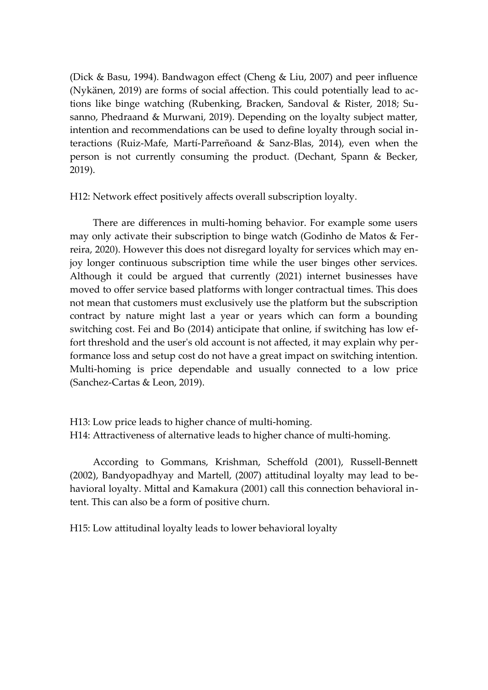(Dick & Basu, 1994). Bandwagon effect (Cheng & Liu, 2007) and peer influence (Nykänen, 2019) are forms of social affection. This could potentially lead to actions like binge watching (Rubenking, Bracken, Sandoval & Rister, 2018; Susanno, Phedraand & Murwani, 2019). Depending on the loyalty subject matter, intention and recommendations can be used to define loyalty through social interactions (Ruiz-Mafe, Martí-Parreñoand & Sanz-Blas, 2014), even when the person is not currently consuming the product. (Dechant, Spann & Becker, 2019).

H12: Network effect positively affects overall subscription loyalty.

There are differences in multi-homing behavior. For example some users may only activate their subscription to binge watch (Godinho de Matos & Ferreira, 2020). However this does not disregard loyalty for services which may enjoy longer continuous subscription time while the user binges other services. Although it could be argued that currently (2021) internet businesses have moved to offer service based platforms with longer contractual times. This does not mean that customers must exclusively use the platform but the subscription contract by nature might last a year or years which can form a bounding switching cost. Fei and Bo (2014) anticipate that online, if switching has low effort threshold and the user's old account is not affected, it may explain why performance loss and setup cost do not have a great impact on switching intention. Multi-homing is price dependable and usually connected to a low price (Sanchez-Cartas & Leon, 2019).

H13: Low price leads to higher chance of multi-homing. H14: Attractiveness of alternative leads to higher chance of multi-homing.

According to Gommans, Krishman, Scheffold (2001), Russell-Bennett (2002), Bandyopadhyay and Martell, (2007) attitudinal loyalty may lead to behavioral loyalty. Mittal and Kamakura (2001) call this connection behavioral intent. This can also be a form of positive churn.

H15: Low attitudinal loyalty leads to lower behavioral loyalty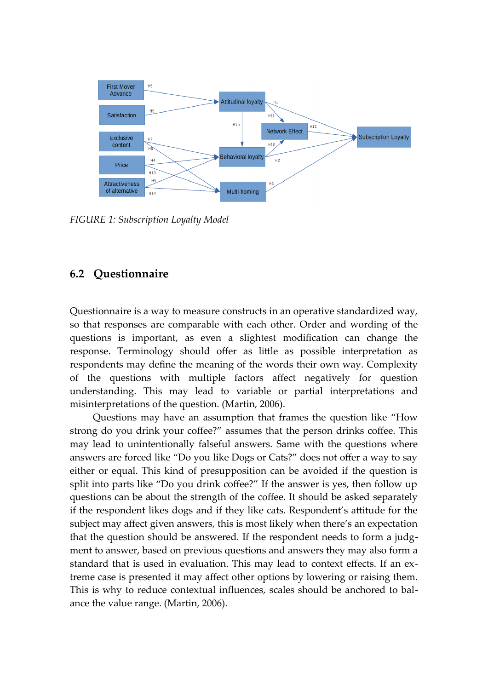

<span id="page-34-0"></span>*FIGURE 1: Subscription Loyalty Model*

#### <span id="page-34-1"></span>**6.2 Questionnaire**

Questionnaire is a way to measure constructs in an operative standardized way, so that responses are comparable with each other. Order and wording of the questions is important, as even a slightest modification can change the response. Terminology should offer as little as possible interpretation as respondents may define the meaning of the words their own way. Complexity of the questions with multiple factors affect negatively for question understanding. This may lead to variable or partial interpretations and misinterpretations of the question. (Martin, 2006).

Questions may have an assumption that frames the question like "How strong do you drink your coffee?" assumes that the person drinks coffee. This may lead to unintentionally falseful answers. Same with the questions where answers are forced like "Do you like Dogs or Cats?" does not offer a way to say either or equal. This kind of presupposition can be avoided if the question is split into parts like "Do you drink coffee?" If the answer is yes, then follow up questions can be about the strength of the coffee. It should be asked separately if the respondent likes dogs and if they like cats. Respondent's attitude for the subject may affect given answers, this is most likely when there's an expectation that the question should be answered. If the respondent needs to form a judgment to answer, based on previous questions and answers they may also form a standard that is used in evaluation. This may lead to context effects. If an extreme case is presented it may affect other options by lowering or raising them. This is why to reduce contextual influences, scales should be anchored to balance the value range. (Martin, 2006).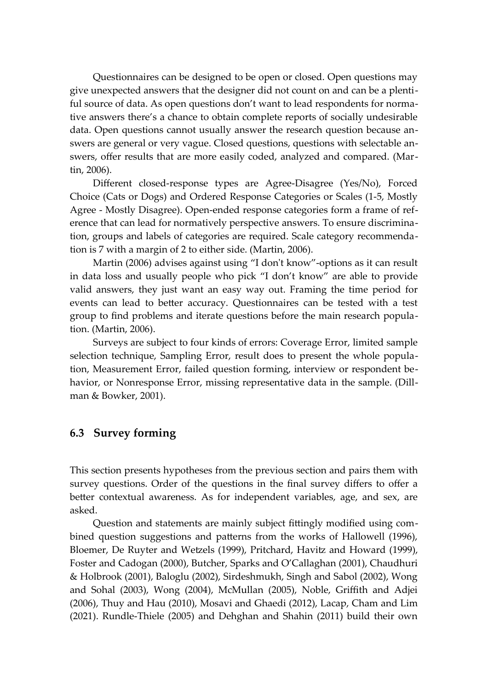Questionnaires can be designed to be open or closed. Open questions may give unexpected answers that the designer did not count on and can be a plentiful source of data. As open questions don't want to lead respondents for normative answers there's a chance to obtain complete reports of socially undesirable data. Open questions cannot usually answer the research question because answers are general or very vague. Closed questions, questions with selectable answers, offer results that are more easily coded, analyzed and compared. (Martin, 2006).

Different closed-response types are Agree-Disagree (Yes/No), Forced Choice (Cats or Dogs) and Ordered Response Categories or Scales (1-5, Mostly Agree - Mostly Disagree). Open-ended response categories form a frame of reference that can lead for normatively perspective answers. To ensure discrimination, groups and labels of categories are required. Scale category recommendation is 7 with a margin of 2 to either side. (Martin, 2006).

Martin (2006) advises against using "I don't know"-options as it can result in data loss and usually people who pick "I don't know" are able to provide valid answers, they just want an easy way out. Framing the time period for events can lead to better accuracy. Questionnaires can be tested with a test group to find problems and iterate questions before the main research population. (Martin, 2006).

Surveys are subject to four kinds of errors: Coverage Error, limited sample selection technique, Sampling Error, result does to present the whole population, Measurement Error, failed question forming, interview or respondent behavior, or Nonresponse Error, missing representative data in the sample. (Dillman & Bowker, 2001).

#### <span id="page-35-0"></span>**6.3 Survey forming**

This section presents hypotheses from the previous section and pairs them with survey questions. Order of the questions in the final survey differs to offer a better contextual awareness. As for independent variables, age, and sex, are asked.

Question and statements are mainly subject fittingly modified using combined question suggestions and patterns from the works of Hallowell (1996), Bloemer, De Ruyter and Wetzels (1999), Pritchard, Havitz and Howard (1999), Foster and Cadogan (2000), Butcher, Sparks and O'Callaghan (2001), Chaudhuri & Holbrook (2001), Baloglu (2002), Sirdeshmukh, Singh and Sabol (2002), Wong and Sohal (2003), Wong (2004), McMullan (2005), Noble, Griffith and Adjei (2006), Thuy and Hau (2010), Mosavi and Ghaedi (2012), Lacap, Cham and Lim (2021). Rundle-Thiele (2005) and Dehghan and Shahin (2011) build their own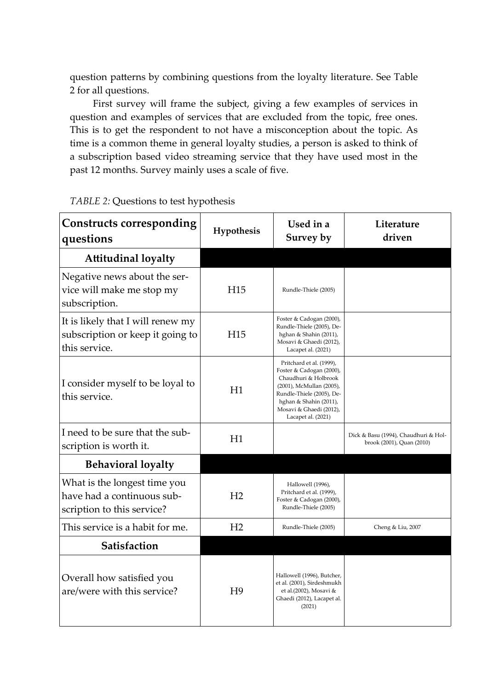question patterns by combining questions from the loyalty literature. See Table 2 for all questions.

First survey will frame the subject, giving a few examples of services in question and examples of services that are excluded from the topic, free ones. This is to get the respondent to not have a misconception about the topic. As time is a common theme in general loyalty studies, a person is asked to think of a subscription based video streaming service that they have used most in the past 12 months. Survey mainly uses a scale of five.

| <b>Constructs corresponding</b><br>questions                                             | Hypothesis      | Used in a<br>Survey by                                                                                                                                                                                           | Literature<br>driven                                              |
|------------------------------------------------------------------------------------------|-----------------|------------------------------------------------------------------------------------------------------------------------------------------------------------------------------------------------------------------|-------------------------------------------------------------------|
| <b>Attitudinal loyalty</b>                                                               |                 |                                                                                                                                                                                                                  |                                                                   |
| Negative news about the ser-<br>vice will make me stop my<br>subscription.               | H15             | Rundle-Thiele (2005)                                                                                                                                                                                             |                                                                   |
| It is likely that I will renew my<br>subscription or keep it going to<br>this service.   | H <sub>15</sub> | Foster & Cadogan (2000),<br>Rundle-Thiele (2005), De-<br>hghan & Shahin (2011),<br>Mosavi & Ghaedi (2012),<br>Lacapet al. (2021)                                                                                 |                                                                   |
| I consider myself to be loyal to<br>this service.                                        | H1              | Pritchard et al. (1999),<br>Foster & Cadogan (2000),<br>Chaudhuri & Holbrook<br>(2001), McMullan (2005),<br>Rundle-Thiele (2005), De-<br>hghan & Shahin (2011),<br>Mosavi & Ghaedi (2012),<br>Lacapet al. (2021) |                                                                   |
| I need to be sure that the sub-<br>scription is worth it.                                | H1              |                                                                                                                                                                                                                  | Dick & Basu (1994), Chaudhuri & Hol-<br>brook (2001), Quan (2010) |
| <b>Behavioral loyalty</b>                                                                |                 |                                                                                                                                                                                                                  |                                                                   |
| What is the longest time you<br>have had a continuous sub-<br>scription to this service? | H <sub>2</sub>  | Hallowell (1996),<br>Pritchard et al. (1999),<br>Foster & Cadogan (2000),<br>Rundle-Thiele (2005)                                                                                                                |                                                                   |
| This service is a habit for me.                                                          | H <sub>2</sub>  | Rundle-Thiele (2005)                                                                                                                                                                                             | Cheng & Liu, 2007                                                 |
| Satisfaction                                                                             |                 |                                                                                                                                                                                                                  |                                                                   |
| Overall how satisfied you<br>are/were with this service?                                 | H <sup>9</sup>  | Hallowell (1996), Butcher,<br>et al. (2001), Sirdeshmukh<br>et al.(2002), Mosavi &<br>Ghaedi (2012), Lacapet al.<br>(2021)                                                                                       |                                                                   |

<span id="page-36-0"></span>*TABLE 2:* Questions to test hypothesis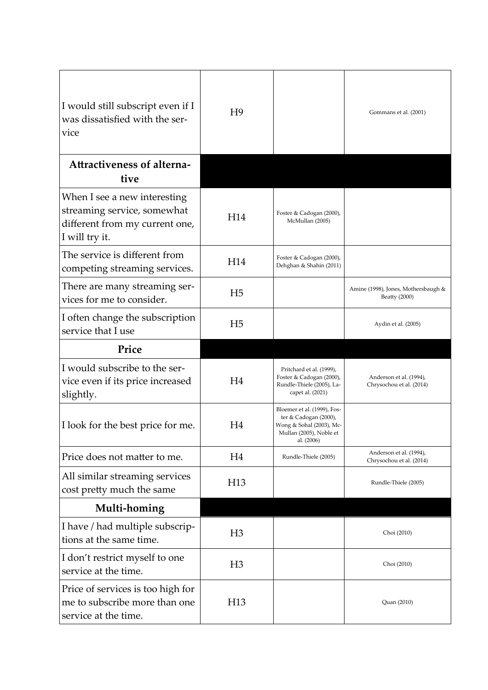| I would still subscript even if I<br>was dissatisfied with the ser-<br>vice                                     | H <sup>9</sup>  |                                                                                                                           | Gommans et al. (2001)                                |
|-----------------------------------------------------------------------------------------------------------------|-----------------|---------------------------------------------------------------------------------------------------------------------------|------------------------------------------------------|
| Attractiveness of alterna-<br>tive                                                                              |                 |                                                                                                                           |                                                      |
| When I see a new interesting<br>streaming service, somewhat<br>different from my current one,<br>I will try it. | H14             | Foster & Cadogan (2000),<br>McMullan (2005)                                                                               |                                                      |
| The service is different from<br>competing streaming services.                                                  | H14             | Foster & Cadogan (2000),<br>Dehghan & Shahin (2011)                                                                       |                                                      |
| There are many streaming ser-<br>vices for me to consider.                                                      | H <sub>5</sub>  |                                                                                                                           | Amine (1998), Jones, Mothersbaugh &<br>Beatty (2000) |
| I often change the subscription<br>service that I use                                                           | H <sub>5</sub>  |                                                                                                                           | Aydin et al. (2005)                                  |
| Price                                                                                                           |                 |                                                                                                                           |                                                      |
| I would subscribe to the ser-<br>vice even if its price increased<br>slightly.                                  | H4              | Pritchard et al. (1999),<br>Foster & Cadogan (2000),<br>Rundle-Thiele (2005), La-<br>capet al. (2021)                     | Anderson et al. (1994),<br>Chrysochou et al. (2014)  |
| I look for the best price for me.                                                                               | H4              | Bloemer et al. (1999), Fos-<br>ter & Cadogan (2000),<br>Wong & Sohal (2003), Mc-<br>Mullan (2005), Noble et<br>al. (2006) |                                                      |
| Price does not matter to me.                                                                                    | H4              | Rundle-Thiele (2005)                                                                                                      | Anderson et al. (1994),<br>Chrysochou et al. (2014)  |
| All similar streaming services<br>cost pretty much the same                                                     | H <sub>13</sub> |                                                                                                                           | Rundle-Thiele (2005)                                 |
| Multi-homing                                                                                                    |                 |                                                                                                                           |                                                      |
| I have / had multiple subscrip-<br>tions at the same time.                                                      | H <sub>3</sub>  |                                                                                                                           | Choi (2010)                                          |
| I don't restrict myself to one<br>service at the time.                                                          | H <sub>3</sub>  |                                                                                                                           | Choi (2010)                                          |
| Price of services is too high for<br>me to subscribe more than one<br>service at the time.                      | H <sub>13</sub> |                                                                                                                           | Quan (2010)                                          |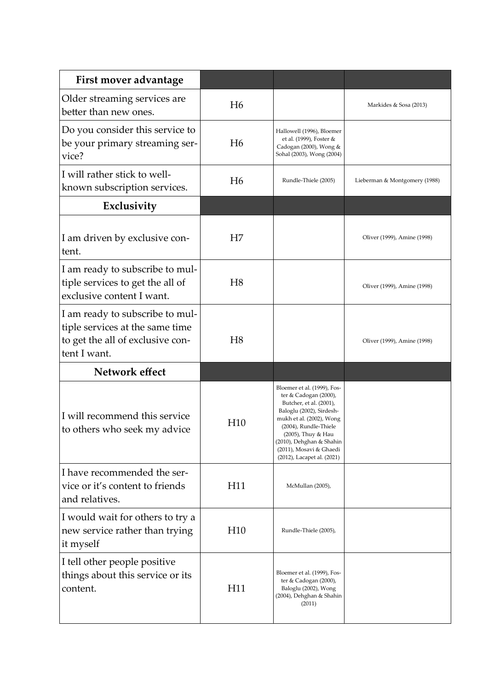| First mover advantage                                                                                                  |                |                                                                                                                                                                                                                                                                             |                               |
|------------------------------------------------------------------------------------------------------------------------|----------------|-----------------------------------------------------------------------------------------------------------------------------------------------------------------------------------------------------------------------------------------------------------------------------|-------------------------------|
| Older streaming services are<br>better than new ones.                                                                  | H <sub>6</sub> |                                                                                                                                                                                                                                                                             | Markides & Sosa (2013)        |
| Do you consider this service to<br>be your primary streaming ser-<br>vice?                                             | H <sub>6</sub> | Hallowell (1996), Bloemer<br>et al. (1999), Foster &<br>Cadogan (2000), Wong &<br>Sohal (2003), Wong (2004)                                                                                                                                                                 |                               |
| I will rather stick to well-<br>known subscription services.                                                           | H <sub>6</sub> | Rundle-Thiele (2005)                                                                                                                                                                                                                                                        | Lieberman & Montgomery (1988) |
| Exclusivity                                                                                                            |                |                                                                                                                                                                                                                                                                             |                               |
| I am driven by exclusive con-<br>tent.                                                                                 | H7             |                                                                                                                                                                                                                                                                             | Oliver (1999), Amine (1998)   |
| I am ready to subscribe to mul-<br>tiple services to get the all of<br>exclusive content I want.                       | H <sub>8</sub> |                                                                                                                                                                                                                                                                             | Oliver (1999), Amine (1998)   |
| I am ready to subscribe to mul-<br>tiple services at the same time<br>to get the all of exclusive con-<br>tent I want. | H <sub>8</sub> |                                                                                                                                                                                                                                                                             | Oliver (1999), Amine (1998)   |
| Network effect                                                                                                         |                |                                                                                                                                                                                                                                                                             |                               |
| I will recommend this service<br>to others who seek my advice                                                          | H10            | Bloemer et al. (1999), Fos-<br>ter & Cadogan (2000),<br>Butcher, et al. (2001),<br>Baloglu (2002), Sirdesh-<br>mukh et al. (2002), Wong<br>(2004), Rundle-Thiele<br>(2005), Thuy & Hau<br>(2010), Dehghan & Shahin<br>(2011), Mosavi & Ghaedi<br>(2012), Lacapet al. (2021) |                               |
| I have recommended the ser-<br>vice or it's content to friends<br>and relatives.                                       | H11            | McMullan (2005),                                                                                                                                                                                                                                                            |                               |
| I would wait for others to try a<br>new service rather than trying<br>it myself                                        | H10            | Rundle-Thiele (2005),                                                                                                                                                                                                                                                       |                               |
| I tell other people positive<br>things about this service or its<br>content.                                           | H11            | Bloemer et al. (1999), Fos-<br>ter & Cadogan (2000),<br>Baloglu (2002), Wong<br>(2004), Dehghan & Shahin<br>(2011)                                                                                                                                                          |                               |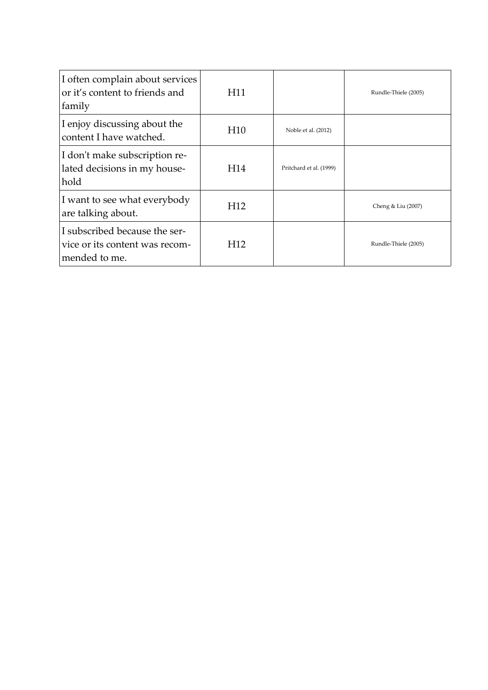| I often complain about services<br>or it's content to friends and<br>family      | H11             |                         | Rundle-Thiele (2005) |
|----------------------------------------------------------------------------------|-----------------|-------------------------|----------------------|
| I enjoy discussing about the<br>content I have watched.                          | H <sub>10</sub> | Noble et al. (2012)     |                      |
| I don't make subscription re-<br>lated decisions in my house-<br>hold            | H <sub>14</sub> | Pritchard et al. (1999) |                      |
| I want to see what everybody<br>are talking about.                               | H <sub>12</sub> |                         | Cheng & Liu (2007)   |
| I subscribed because the ser-<br>vice or its content was recom-<br>mended to me. | H12             |                         | Rundle-Thiele (2005) |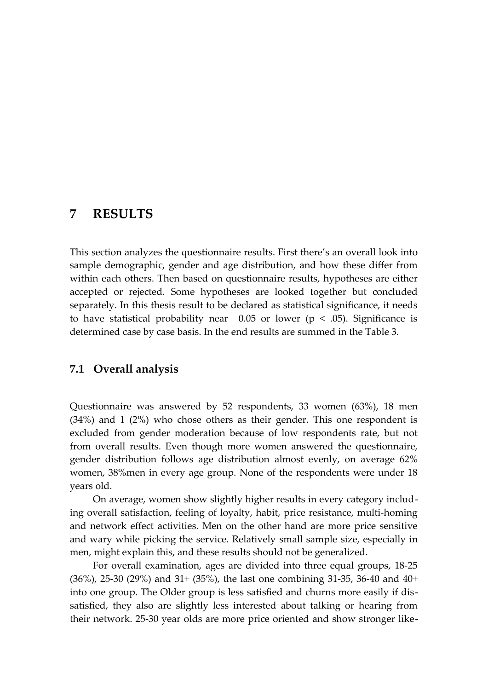### <span id="page-40-1"></span>**7 RESULTS**

This section analyzes the questionnaire results. First there's an overall look into sample demographic, gender and age distribution, and how these differ from within each others. Then based on questionnaire results, hypotheses are either accepted or rejected. Some hypotheses are looked together but concluded separately. In this thesis result to be declared as statistical significance, it needs to have statistical probability near  $0.05$  or lower ( $p < .05$ ). Significance is determined case by case basis. In the end results are summed in the Table 3.

#### <span id="page-40-0"></span>**7.1 Overall analysis**

Questionnaire was answered by 52 respondents, 33 women (63%), 18 men (34%) and 1 (2%) who chose others as their gender. This one respondent is excluded from gender moderation because of low respondents rate, but not from overall results. Even though more women answered the questionnaire, gender distribution follows age distribution almost evenly, on average 62% women, 38%men in every age group. None of the respondents were under 18 years old.

On average, women show slightly higher results in every category including overall satisfaction, feeling of loyalty, habit, price resistance, multi-homing and network effect activities. Men on the other hand are more price sensitive and wary while picking the service. Relatively small sample size, especially in men, might explain this, and these results should not be generalized.

For overall examination, ages are divided into three equal groups, 18-25 (36%), 25-30 (29%) and 31+ (35%), the last one combining 31-35, 36-40 and 40+ into one group. The Older group is less satisfied and churns more easily if dissatisfied, they also are slightly less interested about talking or hearing from their network. 25-30 year olds are more price oriented and show stronger like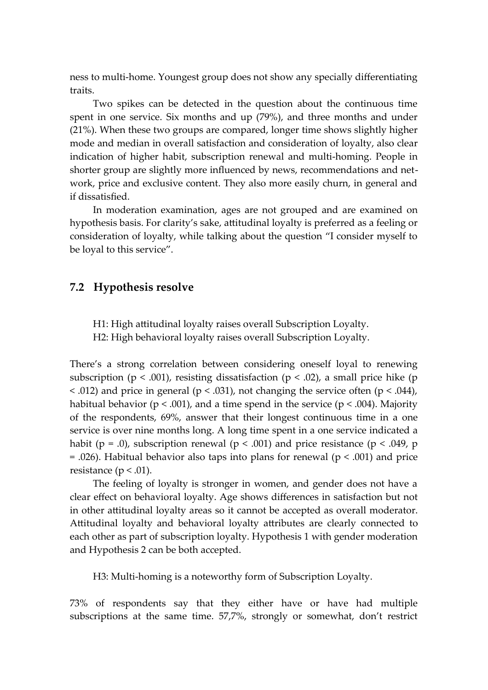ness to multi-home. Youngest group does not show any specially differentiating traits.

Two spikes can be detected in the question about the continuous time spent in one service. Six months and up (79%), and three months and under (21%). When these two groups are compared, longer time shows slightly higher mode and median in overall satisfaction and consideration of loyalty, also clear indication of higher habit, subscription renewal and multi-homing. People in shorter group are slightly more influenced by news, recommendations and network, price and exclusive content. They also more easily churn, in general and if dissatisfied.

In moderation examination, ages are not grouped and are examined on hypothesis basis. For clarity's sake, attitudinal loyalty is preferred as a feeling or consideration of loyalty, while talking about the question "I consider myself to be loyal to this service".

#### <span id="page-41-0"></span>**7.2 Hypothesis resolve**

H1: High attitudinal loyalty raises overall Subscription Loyalty. H2: High behavioral loyalty raises overall Subscription Loyalty.

There's a strong correlation between considering oneself loyal to renewing subscription ( $p < .001$ ), resisting dissatisfaction ( $p < .02$ ), a small price hike ( $p$  $\langle 0.012 \rangle$  and price in general (p  $\langle 0.031 \rangle$ , not changing the service often (p  $\langle 0.044 \rangle$ , habitual behavior ( $p < .001$ ), and a time spend in the service ( $p < .004$ ). Majority of the respondents, 69%, answer that their longest continuous time in a one service is over nine months long. A long time spent in a one service indicated a habit (p = .0), subscription renewal (p < .001) and price resistance (p < .049, p  $= .026$ ). Habitual behavior also taps into plans for renewal ( $p < .001$ ) and price resistance ( $p < .01$ ).

The feeling of loyalty is stronger in women, and gender does not have a clear effect on behavioral loyalty. Age shows differences in satisfaction but not in other attitudinal loyalty areas so it cannot be accepted as overall moderator. Attitudinal loyalty and behavioral loyalty attributes are clearly connected to each other as part of subscription loyalty. Hypothesis 1 with gender moderation and Hypothesis 2 can be both accepted.

H3: Multi-homing is a noteworthy form of Subscription Loyalty.

73% of respondents say that they either have or have had multiple subscriptions at the same time. 57,7%, strongly or somewhat, don't restrict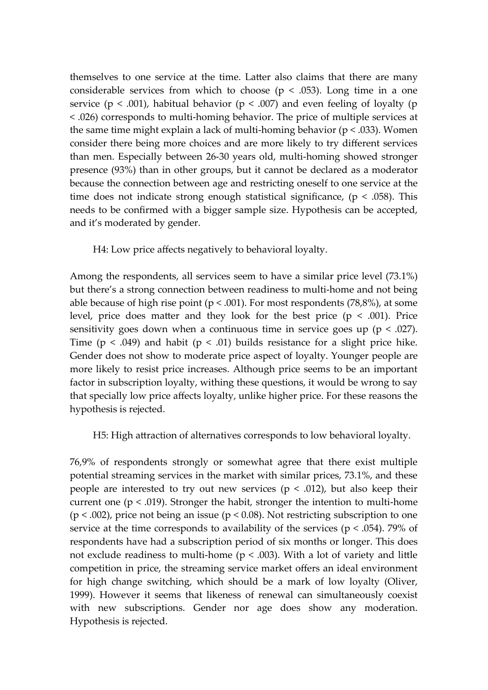themselves to one service at the time. Latter also claims that there are many considerable services from which to choose ( $p < .053$ ). Long time in a one service ( $p < .001$ ), habitual behavior ( $p < .007$ ) and even feeling of loyalty ( $p$ ) < .026) corresponds to multi-homing behavior. The price of multiple services at the same time might explain a lack of multi-homing behavior ( $p < .033$ ). Women consider there being more choices and are more likely to try different services than men. Especially between 26-30 years old, multi-homing showed stronger presence (93%) than in other groups, but it cannot be declared as a moderator because the connection between age and restricting oneself to one service at the time does not indicate strong enough statistical significance,  $(p < .058)$ . This needs to be confirmed with a bigger sample size. Hypothesis can be accepted, and it's moderated by gender.

H4: Low price affects negatively to behavioral loyalty.

Among the respondents, all services seem to have a similar price level (73.1%) but there's a strong connection between readiness to multi-home and not being able because of high rise point ( $p < .001$ ). For most respondents (78,8%), at some level, price does matter and they look for the best price ( $p < .001$ ). Price sensitivity goes down when a continuous time in service goes up ( $p < .027$ ). Time ( $p < .049$ ) and habit ( $p < .01$ ) builds resistance for a slight price hike. Gender does not show to moderate price aspect of loyalty. Younger people are more likely to resist price increases. Although price seems to be an important factor in subscription loyalty, withing these questions, it would be wrong to say that specially low price affects loyalty, unlike higher price. For these reasons the hypothesis is rejected.

H5: High attraction of alternatives corresponds to low behavioral loyalty.

76,9% of respondents strongly or somewhat agree that there exist multiple potential streaming services in the market with similar prices, 73.1%, and these people are interested to try out new services ( $p < .012$ ), but also keep their current one ( $p < .019$ ). Stronger the habit, stronger the intention to multi-home ( $p < .002$ ), price not being an issue ( $p < .008$ ). Not restricting subscription to one service at the time corresponds to availability of the services ( $p < .054$ ). 79% of respondents have had a subscription period of six months or longer. This does not exclude readiness to multi-home ( $p < .003$ ). With a lot of variety and little competition in price, the streaming service market offers an ideal environment for high change switching, which should be a mark of low loyalty (Oliver, 1999). However it seems that likeness of renewal can simultaneously coexist with new subscriptions. Gender nor age does show any moderation. Hypothesis is rejected.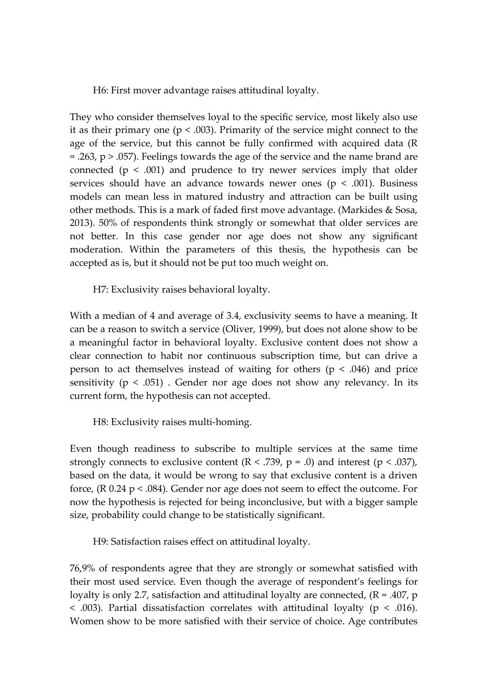H6: First mover advantage raises attitudinal loyalty.

They who consider themselves loyal to the specific service, most likely also use it as their primary one ( $p < .003$ ). Primarity of the service might connect to the age of the service, but this cannot be fully confirmed with acquired data (R  $=$  .263, p  $>$  .057). Feelings towards the age of the service and the name brand are connected ( $p < .001$ ) and prudence to try newer services imply that older services should have an advance towards newer ones ( $p < .001$ ). Business models can mean less in matured industry and attraction can be built using other methods. This is a mark of faded first move advantage. (Markides & Sosa, 2013). 50% of respondents think strongly or somewhat that older services are not better. In this case gender nor age does not show any significant moderation. Within the parameters of this thesis, the hypothesis can be accepted as is, but it should not be put too much weight on.

H7: Exclusivity raises behavioral loyalty.

With a median of 4 and average of 3.4, exclusivity seems to have a meaning. It can be a reason to switch a service (Oliver, 1999), but does not alone show to be a meaningful factor in behavioral loyalty. Exclusive content does not show a clear connection to habit nor continuous subscription time, but can drive a person to act themselves instead of waiting for others ( $p < .046$ ) and price sensitivity ( $p < .051$ ). Gender nor age does not show any relevancy. In its current form, the hypothesis can not accepted.

H8: Exclusivity raises multi-homing.

Even though readiness to subscribe to multiple services at the same time strongly connects to exclusive content  $(R < .739, p = .0)$  and interest  $(p < .037)$ , based on the data, it would be wrong to say that exclusive content is a driven force, (R 0.24 p < .084). Gender nor age does not seem to effect the outcome. For now the hypothesis is rejected for being inconclusive, but with a bigger sample size, probability could change to be statistically significant.

H9: Satisfaction raises effect on attitudinal loyalty.

76,9% of respondents agree that they are strongly or somewhat satisfied with their most used service. Even though the average of respondent's feelings for loyalty is only 2.7, satisfaction and attitudinal loyalty are connected, (R = .407, p  $<$  .003). Partial dissatisfaction correlates with attitudinal loyalty ( $p < .016$ ). Women show to be more satisfied with their service of choice. Age contributes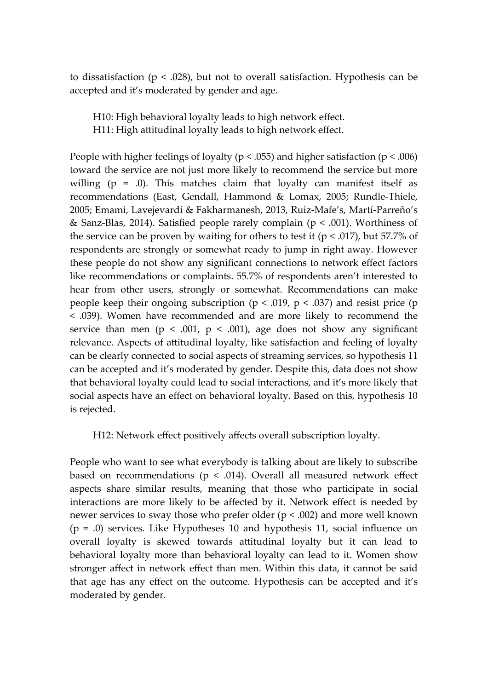to dissatisfaction ( $p < .028$ ), but not to overall satisfaction. Hypothesis can be accepted and it's moderated by gender and age.

H10: High behavioral loyalty leads to high network effect. H11: High attitudinal loyalty leads to high network effect.

People with higher feelings of loyalty ( $p < .055$ ) and higher satisfaction ( $p < .006$ ) toward the service are not just more likely to recommend the service but more willing  $(p = 0)$ . This matches claim that loyalty can manifest itself as recommendations (East, Gendall, Hammond & Lomax, 2005; Rundle-Thiele, 2005; Emami, Lavejevardi & Fakharmanesh, 2013, Ruiz-Mafe's, Martí-Parreño's & Sanz-Blas, 2014). Satisfied people rarely complain ( $p < .001$ ). Worthiness of the service can be proven by waiting for others to test it ( $p < .017$ ), but 57.7% of respondents are strongly or somewhat ready to jump in right away. However these people do not show any significant connections to network effect factors like recommendations or complaints. 55.7% of respondents aren't interested to hear from other users, strongly or somewhat. Recommendations can make people keep their ongoing subscription ( $p < .019$ ,  $p < .037$ ) and resist price (p < .039). Women have recommended and are more likely to recommend the service than men ( $p < .001$ ,  $p < .001$ ), age does not show any significant relevance. Aspects of attitudinal loyalty, like satisfaction and feeling of loyalty can be clearly connected to social aspects of streaming services, so hypothesis 11 can be accepted and it's moderated by gender. Despite this, data does not show that behavioral loyalty could lead to social interactions, and it's more likely that social aspects have an effect on behavioral loyalty. Based on this, hypothesis 10 is rejected.

H12: Network effect positively affects overall subscription loyalty.

People who want to see what everybody is talking about are likely to subscribe based on recommendations ( $p < .014$ ). Overall all measured network effect aspects share similar results, meaning that those who participate in social interactions are more likely to be affected by it. Network effect is needed by newer services to sway those who prefer older (p < .002) and more well known  $(p = .0)$  services. Like Hypotheses 10 and hypothesis 11, social influence on overall loyalty is skewed towards attitudinal loyalty but it can lead to behavioral loyalty more than behavioral loyalty can lead to it. Women show stronger affect in network effect than men. Within this data, it cannot be said that age has any effect on the outcome. Hypothesis can be accepted and it's moderated by gender.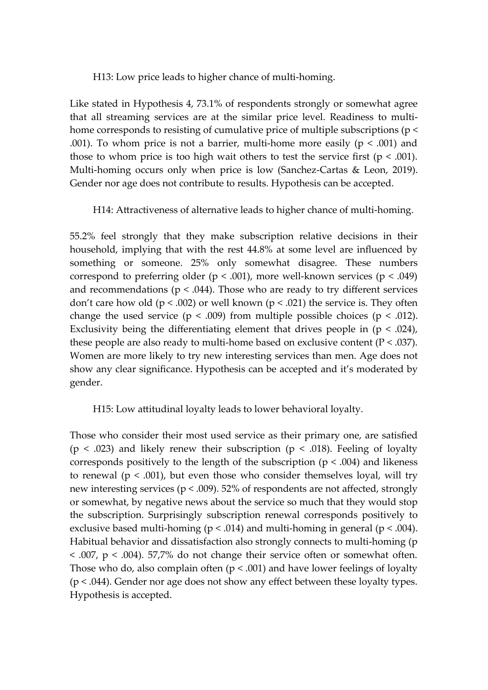H13: Low price leads to higher chance of multi-homing.

Like stated in Hypothesis 4, 73.1% of respondents strongly or somewhat agree that all streaming services are at the similar price level. Readiness to multihome corresponds to resisting of cumulative price of multiple subscriptions (p < .001). To whom price is not a barrier, multi-home more easily ( $p < .001$ ) and those to whom price is too high wait others to test the service first ( $p < .001$ ). Multi-homing occurs only when price is low (Sanchez-Cartas & Leon, 2019). Gender nor age does not contribute to results. Hypothesis can be accepted.

H14: Attractiveness of alternative leads to higher chance of multi-homing.

55.2% feel strongly that they make subscription relative decisions in their household, implying that with the rest 44.8% at some level are influenced by something or someone. 25% only somewhat disagree. These numbers correspond to preferring older ( $p < .001$ ), more well-known services ( $p < .049$ ) and recommendations ( $p < .044$ ). Those who are ready to try different services don't care how old ( $p < .002$ ) or well known ( $p < .021$ ) the service is. They often change the used service ( $p < .009$ ) from multiple possible choices ( $p < .012$ ). Exclusivity being the differentiating element that drives people in  $(p < .024)$ , these people are also ready to multi-home based on exclusive content ( $P < .037$ ). Women are more likely to try new interesting services than men. Age does not show any clear significance. Hypothesis can be accepted and it's moderated by gender.

H15: Low attitudinal loyalty leads to lower behavioral loyalty.

Those who consider their most used service as their primary one, are satisfied ( $p < .023$ ) and likely renew their subscription ( $p < .018$ ). Feeling of loyalty corresponds positively to the length of the subscription  $(p < .004)$  and likeness to renewal ( $p < .001$ ), but even those who consider themselves loyal, will try new interesting services (p < .009). 52% of respondents are not affected, strongly or somewhat, by negative news about the service so much that they would stop the subscription. Surprisingly subscription renewal corresponds positively to exclusive based multi-homing ( $p < .014$ ) and multi-homing in general ( $p < .004$ ). Habitual behavior and dissatisfaction also strongly connects to multi-homing (p  $<$  .007,  $p$   $<$  .004). 57,7% do not change their service often or somewhat often. Those who do, also complain often  $(p < .001)$  and have lower feelings of loyalty  $(p < .044)$ . Gender nor age does not show any effect between these loyalty types. Hypothesis is accepted.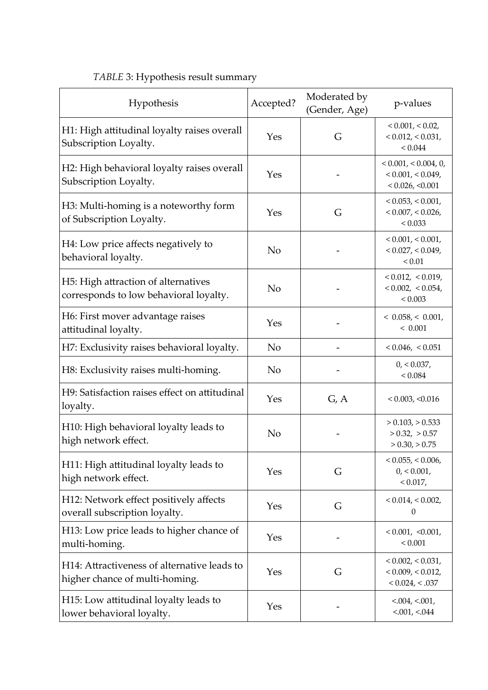| Hypothesis                                                                    | Accepted?      | Moderated by<br>(Gender, Age) | p-values                                                                       |
|-------------------------------------------------------------------------------|----------------|-------------------------------|--------------------------------------------------------------------------------|
| H1: High attitudinal loyalty raises overall<br>Subscription Loyalty.          | Yes            | G                             | $< 0.001$ , $< 0.02$ ,<br>< 0.012, < 0.031,<br>${}_{< 0.044}$                  |
| H2: High behavioral loyalty raises overall<br>Subscription Loyalty.           | Yes            |                               | $< 0.001$ , $< 0.004$ , 0,<br>$< 0.001$ , $< 0.049$ ,<br>$< 0.026$ , $< 0.001$ |
| H3: Multi-homing is a noteworthy form<br>of Subscription Loyalty.             | Yes            | G                             | < 0.053, < 0.001,<br>< 0.007, < 0.026,<br>< 0.033                              |
| H4: Low price affects negatively to<br>behavioral loyalty.                    | N <sub>o</sub> |                               | $< 0.001$ , $< 0.001$ ,<br>< 0.027, < 0.049,<br>${}_{0.01}$                    |
| H5: High attraction of alternatives<br>corresponds to low behavioral loyalty. | N <sub>o</sub> |                               | $< 0.012$ , $< 0.019$ ,<br>$< 0.002$ , $< 0.054$ ,<br>${}< 0.003$              |
| H6: First mover advantage raises<br>attitudinal loyalty.                      | Yes            |                               | < 0.058, < 0.001,<br>< 0.001                                                   |
| H7: Exclusivity raises behavioral loyalty.                                    | N <sub>o</sub> |                               | $< 0.046$ , $< 0.051$                                                          |
| H8: Exclusivity raises multi-homing.                                          | N <sub>o</sub> |                               | 0, 0.037,<br>${}_{< 0.084}$                                                    |
| H9: Satisfaction raises effect on attitudinal<br>loyalty.                     | Yes            | G, A                          | $< 0.003$ , $< 0.016$                                                          |
| H10: High behavioral loyalty leads to<br>high network effect.                 | N <sub>o</sub> |                               | $> 0.103$ , $> 0.533$<br>$> 0.32$ , $> 0.57$<br>$> 0.30$ , $> 0.75$            |
| H11: High attitudinal loyalty leads to<br>high network effect.                | Yes            | G                             | < 0.055, < 0.006,<br>0, 0.001,<br>< 0.017,                                     |
| H12: Network effect positively affects<br>overall subscription loyalty.       | Yes            | G                             | $< 0.014$ , $< 0.002$ ,<br>0                                                   |
| H13: Low price leads to higher chance of<br>multi-homing.                     | Yes            |                               | < 0.001, < 0.001,<br>< 0.001                                                   |
| H14: Attractiveness of alternative leads to<br>higher chance of multi-homing. | Yes            | G                             | $< 0.002$ , $< 0.031$ ,<br>$< 0.009$ , $< 0.012$ ,<br>< 0.024, < .037          |
| H15: Low attitudinal loyalty leads to<br>lower behavioral loyalty.            | Yes            |                               | $< 0.004$ , $< 0.001$ ,<br>$< 0.001$ , $< 0.044$                               |

### <span id="page-46-0"></span>*TABLE* 3: Hypothesis result summary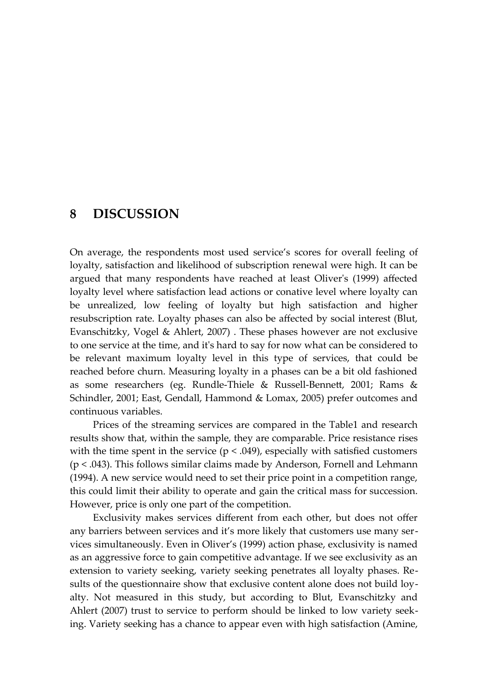### <span id="page-47-0"></span>**8 DISCUSSION**

On average, the respondents most used service's scores for overall feeling of loyalty, satisfaction and likelihood of subscription renewal were high. It can be argued that many respondents have reached at least Oliver's (1999) affected loyalty level where satisfaction lead actions or conative level where loyalty can be unrealized, low feeling of loyalty but high satisfaction and higher resubscription rate. Loyalty phases can also be affected by social interest (Blut, Evanschitzky, Vogel & Ahlert, 2007) . These phases however are not exclusive to one service at the time, and it's hard to say for now what can be considered to be relevant maximum loyalty level in this type of services, that could be reached before churn. Measuring loyalty in a phases can be a bit old fashioned as some researchers (eg. Rundle-Thiele & Russell-Bennett, 2001; Rams & Schindler, 2001; East, Gendall, Hammond & Lomax, 2005) prefer outcomes and continuous variables.

Prices of the streaming services are compared in the Table1 and research results show that, within the sample, they are comparable. Price resistance rises with the time spent in the service ( $p < .049$ ), especially with satisfied customers (p < .043). This follows similar claims made by Anderson, Fornell and Lehmann (1994). A new service would need to set their price point in a competition range, this could limit their ability to operate and gain the critical mass for succession. However, price is only one part of the competition.

Exclusivity makes services different from each other, but does not offer any barriers between services and it's more likely that customers use many services simultaneously. Even in Oliver's (1999) action phase, exclusivity is named as an aggressive force to gain competitive advantage. If we see exclusivity as an extension to variety seeking, variety seeking penetrates all loyalty phases. Results of the questionnaire show that exclusive content alone does not build loyalty. Not measured in this study, but according to Blut, Evanschitzky and Ahlert (2007) trust to service to perform should be linked to low variety seeking. Variety seeking has a chance to appear even with high satisfaction (Amine,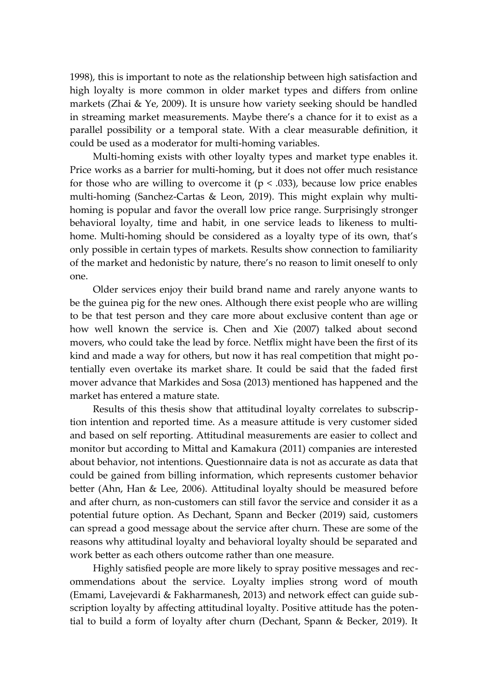1998), this is important to note as the relationship between high satisfaction and high loyalty is more common in older market types and differs from online markets (Zhai & Ye, 2009). It is unsure how variety seeking should be handled in streaming market measurements. Maybe there's a chance for it to exist as a parallel possibility or a temporal state. With a clear measurable definition, it could be used as a moderator for multi-homing variables.

Multi-homing exists with other loyalty types and market type enables it. Price works as a barrier for multi-homing, but it does not offer much resistance for those who are willing to overcome it ( $p < .033$ ), because low price enables multi-homing (Sanchez-Cartas & Leon, 2019). This might explain why multihoming is popular and favor the overall low price range. Surprisingly stronger behavioral loyalty, time and habit, in one service leads to likeness to multihome. Multi-homing should be considered as a loyalty type of its own, that's only possible in certain types of markets. Results show connection to familiarity of the market and hedonistic by nature, there's no reason to limit oneself to only one.

Older services enjoy their build brand name and rarely anyone wants to be the guinea pig for the new ones. Although there exist people who are willing to be that test person and they care more about exclusive content than age or how well known the service is. Chen and Xie (2007) talked about second movers, who could take the lead by force. Netflix might have been the first of its kind and made a way for others, but now it has real competition that might potentially even overtake its market share. It could be said that the faded first mover advance that Markides and Sosa (2013) mentioned has happened and the market has entered a mature state.

Results of this thesis show that attitudinal loyalty correlates to subscription intention and reported time. As a measure attitude is very customer sided and based on self reporting. Attitudinal measurements are easier to collect and monitor but according to Mittal and Kamakura (2011) companies are interested about behavior, not intentions. Questionnaire data is not as accurate as data that could be gained from billing information, which represents customer behavior better (Ahn, Han & Lee, 2006). Attitudinal loyalty should be measured before and after churn, as non-customers can still favor the service and consider it as a potential future option. As Dechant, Spann and Becker (2019) said, customers can spread a good message about the service after churn. These are some of the reasons why attitudinal loyalty and behavioral loyalty should be separated and work better as each others outcome rather than one measure.

Highly satisfied people are more likely to spray positive messages and recommendations about the service. Loyalty implies strong word of mouth (Emami, Lavejevardi & Fakharmanesh, 2013) and network effect can guide subscription loyalty by affecting attitudinal loyalty. Positive attitude has the potential to build a form of loyalty after churn (Dechant, Spann & Becker, 2019). It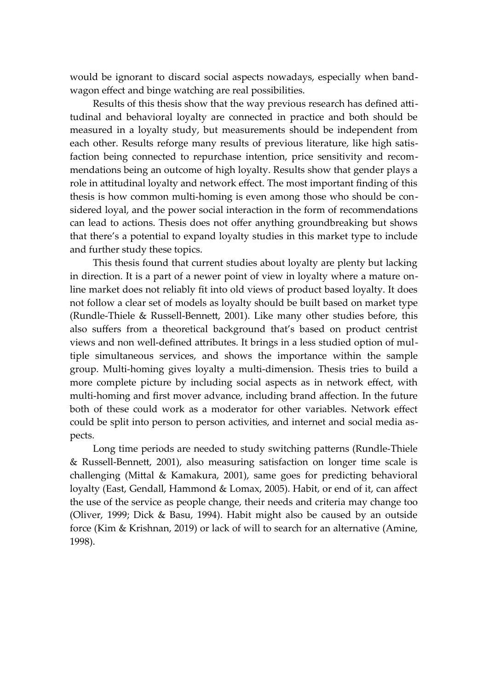would be ignorant to discard social aspects nowadays, especially when bandwagon effect and binge watching are real possibilities.

Results of this thesis show that the way previous research has defined attitudinal and behavioral loyalty are connected in practice and both should be measured in a loyalty study, but measurements should be independent from each other. Results reforge many results of previous literature, like high satisfaction being connected to repurchase intention, price sensitivity and recommendations being an outcome of high loyalty. Results show that gender plays a role in attitudinal loyalty and network effect. The most important finding of this thesis is how common multi-homing is even among those who should be considered loyal, and the power social interaction in the form of recommendations can lead to actions. Thesis does not offer anything groundbreaking but shows that there's a potential to expand loyalty studies in this market type to include and further study these topics.

This thesis found that current studies about loyalty are plenty but lacking in direction. It is a part of a newer point of view in loyalty where a mature online market does not reliably fit into old views of product based loyalty. It does not follow a clear set of models as loyalty should be built based on market type (Rundle-Thiele & Russell-Bennett, 2001). Like many other studies before, this also suffers from a theoretical background that's based on product centrist views and non well-defined attributes. It brings in a less studied option of multiple simultaneous services, and shows the importance within the sample group. Multi-homing gives loyalty a multi-dimension. Thesis tries to build a more complete picture by including social aspects as in network effect, with multi-homing and first mover advance, including brand affection. In the future both of these could work as a moderator for other variables. Network effect could be split into person to person activities, and internet and social media aspects.

Long time periods are needed to study switching patterns (Rundle-Thiele & Russell-Bennett, 2001), also measuring satisfaction on longer time scale is challenging (Mittal & Kamakura, 2001), same goes for predicting behavioral loyalty (East, Gendall, Hammond & Lomax, 2005). Habit, or end of it, can affect the use of the service as people change, their needs and criteria may change too (Oliver, 1999; Dick & Basu, 1994). Habit might also be caused by an outside force (Kim & Krishnan, 2019) or lack of will to search for an alternative (Amine, 1998).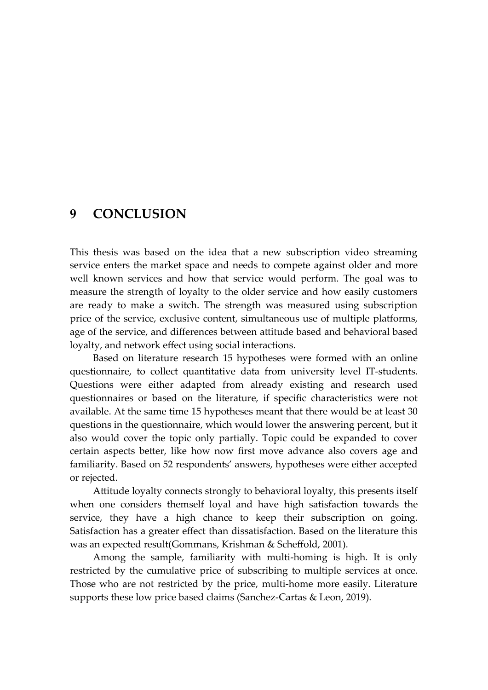### <span id="page-50-0"></span>**9 CONCLUSION**

This thesis was based on the idea that a new subscription video streaming service enters the market space and needs to compete against older and more well known services and how that service would perform. The goal was to measure the strength of loyalty to the older service and how easily customers are ready to make a switch. The strength was measured using subscription price of the service, exclusive content, simultaneous use of multiple platforms, age of the service, and differences between attitude based and behavioral based loyalty, and network effect using social interactions.

Based on literature research 15 hypotheses were formed with an online questionnaire, to collect quantitative data from university level IT-students. Questions were either adapted from already existing and research used questionnaires or based on the literature, if specific characteristics were not available. At the same time 15 hypotheses meant that there would be at least 30 questions in the questionnaire, which would lower the answering percent, but it also would cover the topic only partially. Topic could be expanded to cover certain aspects better, like how now first move advance also covers age and familiarity. Based on 52 respondents' answers, hypotheses were either accepted or rejected.

Attitude loyalty connects strongly to behavioral loyalty, this presents itself when one considers themself loyal and have high satisfaction towards the service, they have a high chance to keep their subscription on going. Satisfaction has a greater effect than dissatisfaction. Based on the literature this was an expected result(Gommans, Krishman & Scheffold, 2001).

Among the sample, familiarity with multi-homing is high. It is only restricted by the cumulative price of subscribing to multiple services at once. Those who are not restricted by the price, multi-home more easily. Literature supports these low price based claims (Sanchez-Cartas & Leon, 2019).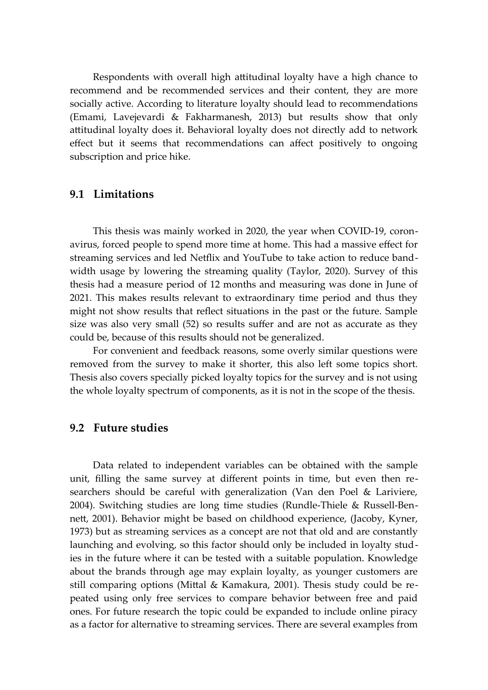Respondents with overall high attitudinal loyalty have a high chance to recommend and be recommended services and their content, they are more socially active. According to literature loyalty should lead to recommendations (Emami, Lavejevardi & Fakharmanesh, 2013) but results show that only attitudinal loyalty does it. Behavioral loyalty does not directly add to network effect but it seems that recommendations can affect positively to ongoing subscription and price hike.

#### <span id="page-51-1"></span>**9.1 Limitations**

This thesis was mainly worked in 2020, the year when COVID-19, coronavirus, forced people to spend more time at home. This had a massive effect for streaming services and led Netflix and YouTube to take action to reduce bandwidth usage by lowering the streaming quality (Taylor, 2020). Survey of this thesis had a measure period of 12 months and measuring was done in June of 2021. This makes results relevant to extraordinary time period and thus they might not show results that reflect situations in the past or the future. Sample size was also very small (52) so results suffer and are not as accurate as they could be, because of this results should not be generalized.

For convenient and feedback reasons, some overly similar questions were removed from the survey to make it shorter, this also left some topics short. Thesis also covers specially picked loyalty topics for the survey and is not using the whole loyalty spectrum of components, as it is not in the scope of the thesis.

#### <span id="page-51-0"></span>**9.2 Future studies**

Data related to independent variables can be obtained with the sample unit, filling the same survey at different points in time, but even then researchers should be careful with generalization (Van den Poel & Lariviere, 2004). Switching studies are long time studies (Rundle-Thiele & Russell-Bennett, 2001). Behavior might be based on childhood experience, (Jacoby, Kyner, 1973) but as streaming services as a concept are not that old and are constantly launching and evolving, so this factor should only be included in loyalty studies in the future where it can be tested with a suitable population. Knowledge about the brands through age may explain loyalty, as younger customers are still comparing options (Mittal & Kamakura, 2001). Thesis study could be repeated using only free services to compare behavior between free and paid ones. For future research the topic could be expanded to include online piracy as a factor for alternative to streaming services. There are several examples from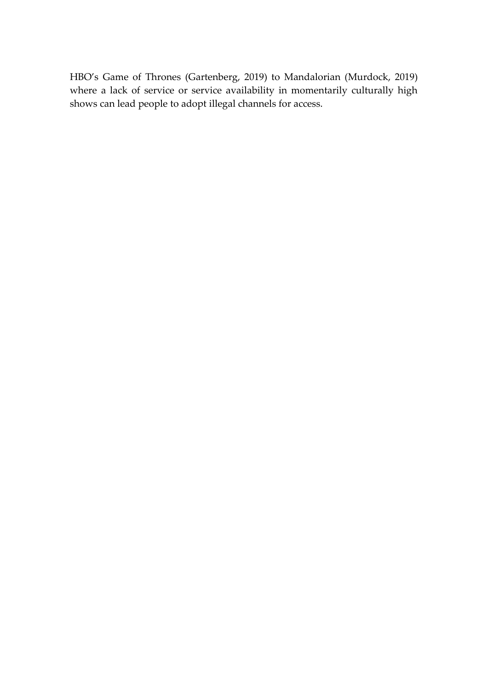HBO's Game of Thrones (Gartenberg, 2019) to Mandalorian (Murdock, 2019) where a lack of service or service availability in momentarily culturally high shows can lead people to adopt illegal channels for access.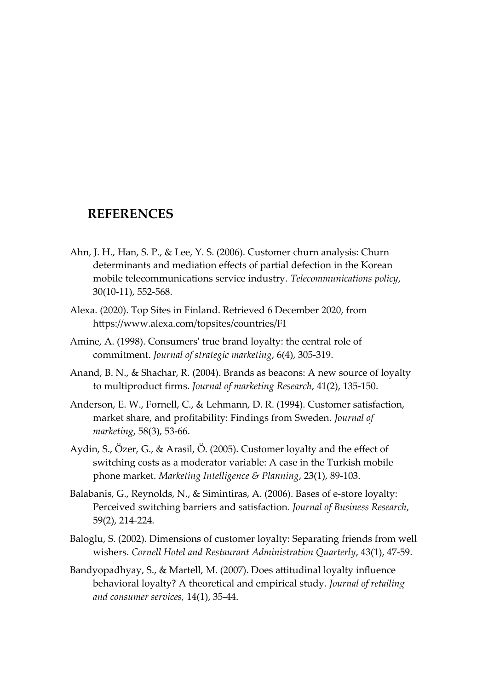### <span id="page-53-0"></span>**REFERENCES**

- Ahn, J. H., Han, S. P., & Lee, Y. S. (2006). Customer churn analysis: Churn determinants and mediation effects of partial defection in the Korean mobile telecommunications service industry. *Telecommunications policy*, 30(10-11), 552-568.
- Alexa. (2020). Top Sites in Finland. Retrieved 6 December 2020, from https://www.alexa.com/topsites/countries/FI
- Amine, A. (1998). Consumers' true brand loyalty: the central role of commitment. *Journal of strategic marketing*, 6(4), 305-319.
- Anand, B. N., & Shachar, R. (2004). Brands as beacons: A new source of loyalty to multiproduct firms. *Journal of marketing Research*, 41(2), 135-150.
- Anderson, E. W., Fornell, C., & Lehmann, D. R. (1994). Customer satisfaction, market share, and profitability: Findings from Sweden. *Journal of marketing*, 58(3), 53-66.
- Aydin, S., Özer, G., & Arasil, Ö. (2005). Customer loyalty and the effect of switching costs as a moderator variable: A case in the Turkish mobile phone market. *Marketing Intelligence & Planning*, 23(1), 89-103.
- Balabanis, G., Reynolds, N., & Simintiras, A. (2006). Bases of e-store loyalty: Perceived switching barriers and satisfaction. *Journal of Business Research*, 59(2), 214-224.
- Baloglu, S. (2002). Dimensions of customer loyalty: Separating friends from well wishers. *Cornell Hotel and Restaurant Administration Quarterly*, 43(1), 47-59.
- Bandyopadhyay, S., & Martell, M. (2007). Does attitudinal loyalty influence behavioral loyalty? A theoretical and empirical study. *Journal of retailing and consumer services,* 14(1), 35-44.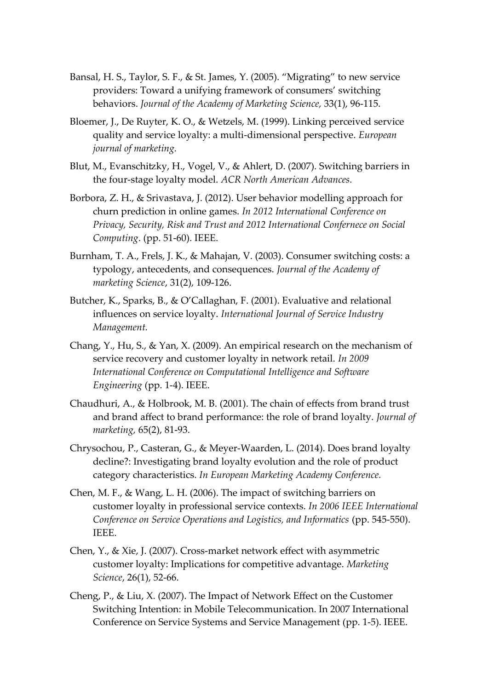- Bansal, H. S., Taylor, S. F., & St. James, Y. (2005). "Migrating" to new service providers: Toward a unifying framework of consumers' switching behaviors. *Journal of the Academy of Marketing Science,* 33(1), 96-115.
- Bloemer, J., De Ruyter, K. O., & Wetzels, M. (1999). Linking perceived service quality and service loyalty: a multi-dimensional perspective. *European journal of marketing.*
- Blut, M., Evanschitzky, H., Vogel, V., & Ahlert, D. (2007). Switching barriers in the four-stage loyalty model. *ACR North American Advances.*
- Borbora, Z. H., & Srivastava, J. (2012). User behavior modelling approach for churn prediction in online games. *In 2012 International Conference on Privacy, Security, Risk and Trust and 2012 International Confernece on Social Computing*. (pp. 51-60). IEEE.
- Burnham, T. A., Frels, J. K., & Mahajan, V. (2003). Consumer switching costs: a typology, antecedents, and consequences. *Journal of the Academy of marketing Science*, 31(2), 109-126.
- Butcher, K., Sparks, B., & O'Callaghan, F. (2001). Evaluative and relational influences on service loyalty. *International Journal of Service Industry Management.*
- Chang, Y., Hu, S., & Yan, X. (2009). An empirical research on the mechanism of service recovery and customer loyalty in network retail. *In 2009 International Conference on Computational Intelligence and Software Engineering* (pp. 1-4). IEEE.
- Chaudhuri, A., & Holbrook, M. B. (2001). The chain of effects from brand trust and brand affect to brand performance: the role of brand loyalty. *Journal of marketing,* 65(2), 81-93.
- Chrysochou, P., Casteran, G., & Meyer-Waarden, L. (2014). Does brand loyalty decline?: Investigating brand loyalty evolution and the role of product category characteristics. *In European Marketing Academy Conference.*
- Chen, M. F., & Wang, L. H. (2006). The impact of switching barriers on customer loyalty in professional service contexts. *In 2006 IEEE International Conference on Service Operations and Logistics, and Informatics* (pp. 545-550). IEEE.
- Chen, Y., & Xie, J. (2007). Cross-market network effect with asymmetric customer loyalty: Implications for competitive advantage. *Marketing Science*, 26(1), 52-66.
- Cheng, P., & Liu, X. (2007). The Impact of Network Effect on the Customer Switching Intention: in Mobile Telecommunication. In 2007 International Conference on Service Systems and Service Management (pp. 1-5). IEEE.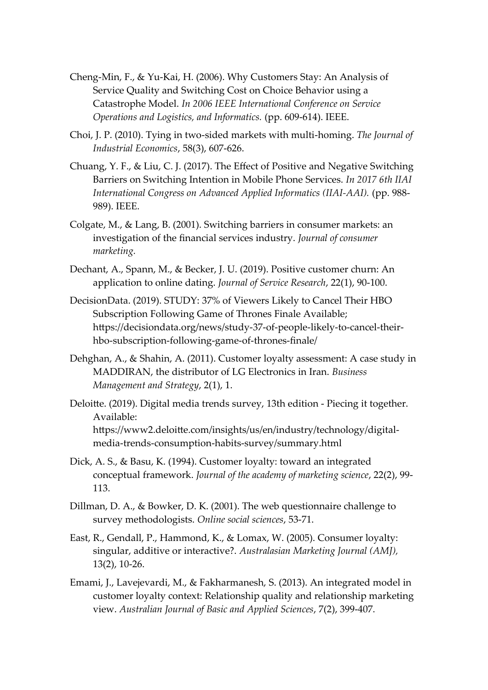- Cheng-Min, F., & Yu-Kai, H. (2006). Why Customers Stay: An Analysis of Service Quality and Switching Cost on Choice Behavior using a Catastrophe Model. *In 2006 IEEE International Conference on Service Operations and Logistics, and Informatics.* (pp. 609-614). IEEE.
- Choi, J. P. (2010). Tying in two-sided markets with multi-homing. *The Journal of Industrial Economics*, 58(3), 607-626.
- Chuang, Y. F., & Liu, C. J. (2017). The Effect of Positive and Negative Switching Barriers on Switching Intention in Mobile Phone Services. *In 2017 6th IIAI International Congress on Advanced Applied Informatics (IIAI-AAI).* (pp. 988- 989). IEEE.
- Colgate, M., & Lang, B. (2001). Switching barriers in consumer markets: an investigation of the financial services industry. *Journal of consumer marketing.*
- Dechant, A., Spann, M., & Becker, J. U. (2019). Positive customer churn: An application to online dating. *Journal of Service Research*, 22(1), 90-100.
- DecisionData. (2019). STUDY: 37% of Viewers Likely to Cancel Their HBO Subscription Following Game of Thrones Finale Available; https://decisiondata.org/news/study-37-of-people-likely-to-cancel-theirhbo-subscription-following-game-of-thrones-finale/
- Dehghan, A., & Shahin, A. (2011). Customer loyalty assessment: A case study in MADDIRAN, the distributor of LG Electronics in Iran. *Business Management and Strategy*, 2(1), 1.
- Deloitte. (2019). Digital media trends survey, 13th edition Piecing it together. Available: https://www2.deloitte.com/insights/us/en/industry/technology/digitalmedia-trends-consumption-habits-survey/summary.html
- Dick, A. S., & Basu, K. (1994). Customer loyalty: toward an integrated conceptual framework. *Journal of the academy of marketing science*, 22(2), 99- 113.
- Dillman, D. A., & Bowker, D. K. (2001). The web questionnaire challenge to survey methodologists. *Online social sciences*, 53-71.
- East, R., Gendall, P., Hammond, K., & Lomax, W. (2005). Consumer loyalty: singular, additive or interactive?. *Australasian Marketing Journal (AMJ),* 13(2), 10-26.
- Emami, J., Lavejevardi, M., & Fakharmanesh, S. (2013). An integrated model in customer loyalty context: Relationship quality and relationship marketing view. *Australian Journal of Basic and Applied Sciences*, 7(2), 399-407.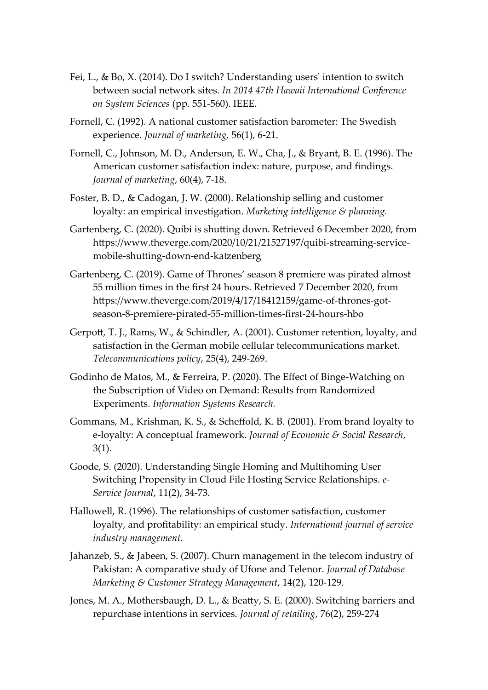- Fei, L., & Bo, X. (2014). Do I switch? Understanding users' intention to switch between social network sites. *In 2014 47th Hawaii International Conference on System Sciences* (pp. 551-560). IEEE.
- Fornell, C. (1992). A national customer satisfaction barometer: The Swedish experience. *Journal of marketing,* 56(1), 6-21.
- Fornell, C., Johnson, M. D., Anderson, E. W., Cha, J., & Bryant, B. E. (1996). The American customer satisfaction index: nature, purpose, and findings. *Journal of marketing*, 60(4), 7-18.
- Foster, B. D., & Cadogan, J. W. (2000). Relationship selling and customer loyalty: an empirical investigation. *Marketing intelligence & planning.*
- Gartenberg, C. (2020). Quibi is shutting down. Retrieved 6 December 2020, from https://www.theverge.com/2020/10/21/21527197/quibi-streaming-servicemobile-shutting-down-end-katzenberg
- Gartenberg, C. (2019). Game of Thrones' season 8 premiere was pirated almost 55 million times in the first 24 hours. Retrieved 7 December 2020, from https://www.theverge.com/2019/4/17/18412159/game-of-thrones-gotseason-8-premiere-pirated-55-million-times-first-24-hours-hbo
- Gerpott, T. J., Rams, W., & Schindler, A. (2001). Customer retention, loyalty, and satisfaction in the German mobile cellular telecommunications market. *Telecommunications policy*, 25(4), 249-269.
- Godinho de Matos, M., & Ferreira, P. (2020). The Effect of Binge-Watching on the Subscription of Video on Demand: Results from Randomized Experiments. *Information Systems Research.*
- Gommans, M., Krishman, K. S., & Scheffold, K. B. (2001). From brand loyalty to e-loyalty: A conceptual framework. *Journal of Economic & Social Research*, 3(1).
- Goode, S. (2020). Understanding Single Homing and Multihoming User Switching Propensity in Cloud File Hosting Service Relationships. *e-Service Journal*, 11(2), 34-73.
- Hallowell, R. (1996). The relationships of customer satisfaction, customer loyalty, and profitability: an empirical study. *International journal of service industry management.*
- Jahanzeb, S., & Jabeen, S. (2007). Churn management in the telecom industry of Pakistan: A comparative study of Ufone and Telenor. *Journal of Database Marketing & Customer Strategy Management*, 14(2), 120-129.
- Jones, M. A., Mothersbaugh, D. L., & Beatty, S. E. (2000). Switching barriers and repurchase intentions in services. *Journal of retailing*, 76(2), 259-274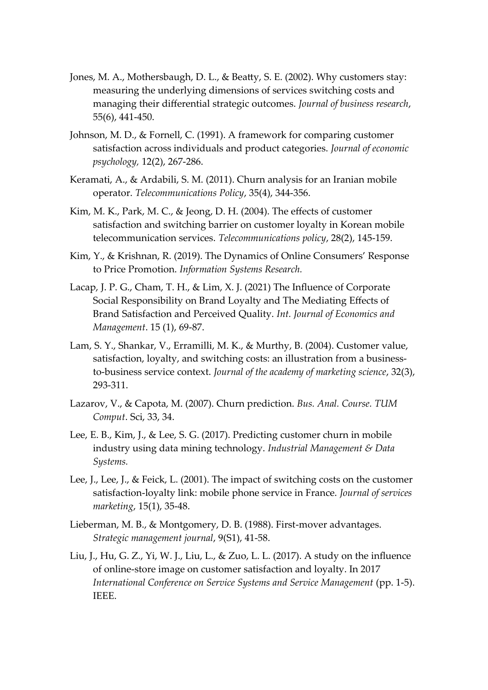- Jones, M. A., Mothersbaugh, D. L., & Beatty, S. E. (2002). Why customers stay: measuring the underlying dimensions of services switching costs and managing their differential strategic outcomes. *Journal of business research*, 55(6), 441-450.
- Johnson, M. D., & Fornell, C. (1991). A framework for comparing customer satisfaction across individuals and product categories. *Journal of economic psychology,* 12(2), 267-286.
- Keramati, A., & Ardabili, S. M. (2011). Churn analysis for an Iranian mobile operator. *Telecommunications Policy*, 35(4), 344-356.
- Kim, M. K., Park, M. C., & Jeong, D. H. (2004). The effects of customer satisfaction and switching barrier on customer loyalty in Korean mobile telecommunication services. *Telecommunications policy*, 28(2), 145-159.
- Kim, Y., & Krishnan, R. (2019). The Dynamics of Online Consumers' Response to Price Promotion. *Information Systems Research.*
- Lacap, J. P. G., Cham, T. H., & Lim, X. J. (2021) The Influence of Corporate Social Responsibility on Brand Loyalty and The Mediating Effects of Brand Satisfaction and Perceived Quality. *Int. Journal of Economics and Management*. 15 (1), 69-87.
- Lam, S. Y., Shankar, V., Erramilli, M. K., & Murthy, B. (2004). Customer value, satisfaction, loyalty, and switching costs: an illustration from a businessto-business service context. *Journal of the academy of marketing science*, 32(3), 293-311.
- Lazarov, V., & Capota, M. (2007). Churn prediction. *Bus. Anal. Course. TUM Comput*. Sci, 33, 34.
- Lee, E. B., Kim, J., & Lee, S. G. (2017). Predicting customer churn in mobile industry using data mining technology. *Industrial Management & Data Systems.*
- Lee, J., Lee, J., & Feick, L. (2001). The impact of switching costs on the customer satisfaction-loyalty link: mobile phone service in France. *Journal of services marketing*, 15(1), 35-48.
- Lieberman, M. B., & Montgomery, D. B. (1988). First-mover advantages. *Strategic management journal*, 9(S1), 41-58.
- Liu, J., Hu, G. Z., Yi, W. J., Liu, L., & Zuo, L. L. (2017). A study on the influence of online-store image on customer satisfaction and loyalty. In 2017 *International Conference on Service Systems and Service Management* (pp. 1-5). IEEE.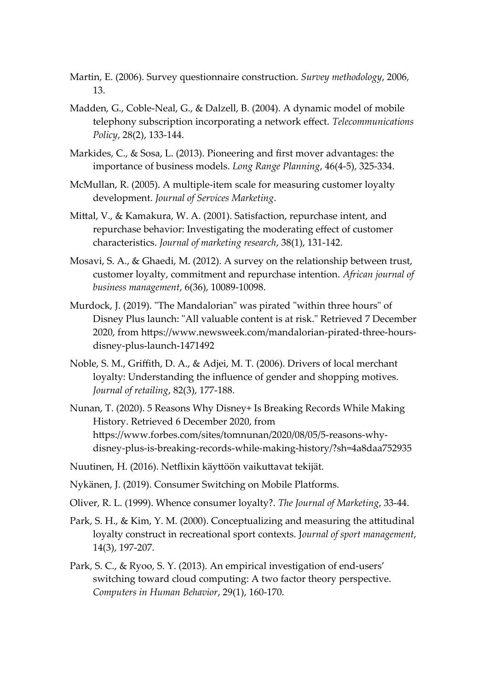- Martin, E. (2006). Survey questionnaire construction. *Survey methodology*, 2006, 13.
- Madden, G., Coble-Neal, G., & Dalzell, B. (2004). A dynamic model of mobile telephony subscription incorporating a network effect. *Telecommunications Policy*, 28(2), 133-144.
- Markides, C., & Sosa, L. (2013). Pioneering and first mover advantages: the importance of business models. *Long Range Planning*, 46(4-5), 325-334.
- McMullan, R. (2005). A multiple-item scale for measuring customer loyalty development. *Journal of Services Marketing*.
- Mittal, V., & Kamakura, W. A. (2001). Satisfaction, repurchase intent, and repurchase behavior: Investigating the moderating effect of customer characteristics. *Journal of marketing research*, 38(1), 131-142.
- Mosavi, S. A., & Ghaedi, M. (2012). A survey on the relationship between trust, customer loyalty, commitment and repurchase intention. *African journal of business management*, 6(36), 10089-10098.
- Murdock, J. (2019). "The Mandalorian" was pirated "within three hours" of Disney Plus launch: "All valuable content is at risk." Retrieved 7 December 2020, from https://www.newsweek.com/mandalorian-pirated-three-hoursdisney-plus-launch-1471492
- Noble, S. M., Griffith, D. A., & Adjei, M. T. (2006). Drivers of local merchant loyalty: Understanding the influence of gender and shopping motives. *Journal of retailing*, 82(3), 177-188.
- Nunan, T. (2020). 5 Reasons Why Disney+ Is Breaking Records While Making History. Retrieved 6 December 2020, from https://www.forbes.com/sites/tomnunan/2020/08/05/5-reasons-whydisney-plus-is-breaking-records-while-making-history/?sh=4a8daa752935
- Nuutinen, H. (2016). Netflixin käyttöön vaikuttavat tekijät.
- Nykänen, J. (2019). Consumer Switching on Mobile Platforms.
- Oliver, R. L. (1999). Whence consumer loyalty?. *The Journal of Marketing*, 33-44.
- Park, S. H., & Kim, Y. M. (2000). Conceptualizing and measuring the attitudinal loyalty construct in recreational sport contexts. J*ournal of sport management*, 14(3), 197-207.
- Park, S. C., & Ryoo, S. Y. (2013). An empirical investigation of end-users' switching toward cloud computing: A two factor theory perspective. *Computers in Human Behavior*, 29(1), 160-170.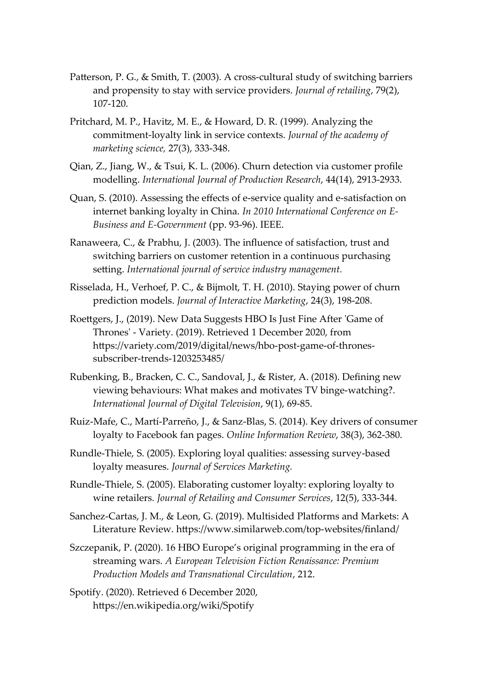- Patterson, P. G., & Smith, T. (2003). A cross-cultural study of switching barriers and propensity to stay with service providers. *Journal of retailing*, 79(2), 107-120.
- Pritchard, M. P., Havitz, M. E., & Howard, D. R. (1999). Analyzing the commitment-loyalty link in service contexts. *Journal of the academy of marketing science,* 27(3), 333-348.
- Qian, Z., Jiang, W., & Tsui, K. L. (2006). Churn detection via customer profile modelling. *International Journal of Production Research*, 44(14), 2913-2933.
- Quan, S. (2010). Assessing the effects of e-service quality and e-satisfaction on internet banking loyalty in China. *In 2010 International Conference on E-Business and E-Government* (pp. 93-96). IEEE.
- Ranaweera, C., & Prabhu, J. (2003). The influence of satisfaction, trust and switching barriers on customer retention in a continuous purchasing setting. *International journal of service industry management.*
- Risselada, H., Verhoef, P. C., & Bijmolt, T. H. (2010). Staying power of churn prediction models. *Journal of Interactive Marketing*, 24(3), 198-208.
- Roettgers, J., (2019). New Data Suggests HBO Is Just Fine After 'Game of Thrones' - Variety. (2019). Retrieved 1 December 2020, from https://variety.com/2019/digital/news/hbo-post-game-of-thronessubscriber-trends-1203253485/
- Rubenking, B., Bracken, C. C., Sandoval, J., & Rister, A. (2018). Defining new viewing behaviours: What makes and motivates TV binge-watching?. *International Journal of Digital Television*, 9(1), 69-85.
- Ruiz-Mafe, C., Martí-Parreño, J., & Sanz-Blas, S. (2014). Key drivers of consumer loyalty to Facebook fan pages. *Online Information Review*, 38(3), 362-380.
- Rundle-Thiele, S. (2005). Exploring loyal qualities: assessing survey-based loyalty measures. *Journal of Services Marketing.*
- Rundle-Thiele, S. (2005). Elaborating customer loyalty: exploring loyalty to wine retailers. *Journal of Retailing and Consumer Services*, 12(5), 333-344.
- Sanchez-Cartas, J. M., & Leon, G. (2019). Multisided Platforms and Markets: A Literature Review. https://www.similarweb.com/top-websites/finland/
- Szczepanik, P. (2020). 16 HBO Europe's original programming in the era of streaming wars. *A European Television Fiction Renaissance: Premium Production Models and Transnational Circulation*, 212.

Spotify. (2020). Retrieved 6 December 2020, https://en.wikipedia.org/wiki/Spotify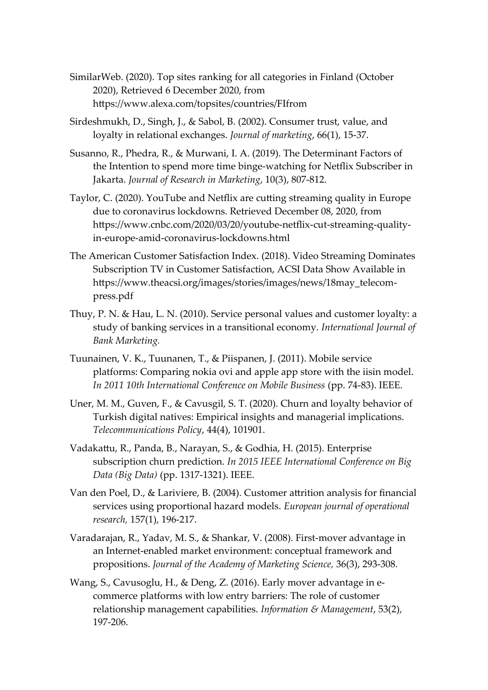- SimilarWeb. (2020). Top sites ranking for all categories in Finland (October 2020), Retrieved 6 December 2020, from https://www.alexa.com/topsites/countries/FIfrom
- Sirdeshmukh, D., Singh, J., & Sabol, B. (2002). Consumer trust, value, and loyalty in relational exchanges. *Journal of marketing*, 66(1), 15-37.
- Susanno, R., Phedra, R., & Murwani, I. A. (2019). The Determinant Factors of the Intention to spend more time binge-watching for Netflix Subscriber in Jakarta. *Journal of Research in Marketing*, 10(3), 807-812.
- Taylor, C. (2020). YouTube and Netflix are cutting streaming quality in Europe due to coronavirus lockdowns. Retrieved December 08, 2020, from https://www.cnbc.com/2020/03/20/youtube-netflix-cut-streaming-qualityin-europe-amid-coronavirus-lockdowns.html
- The American Customer Satisfaction Index. (2018). Video Streaming Dominates Subscription TV in Customer Satisfaction, ACSI Data Show Available in https://www.theacsi.org/images/stories/images/news/18may\_telecompress.pdf
- Thuy, P. N. & Hau, L. N. (2010). Service personal values and customer loyalty: a study of banking services in a transitional economy. *International Journal of Bank Marketing.*
- Tuunainen, V. K., Tuunanen, T., & Piispanen, J. (2011). Mobile service platforms: Comparing nokia ovi and apple app store with the iisin model. *In 2011 10th International Conference on Mobile Business* (pp. 74-83). IEEE.
- Uner, M. M., Guven, F., & Cavusgil, S. T. (2020). Churn and loyalty behavior of Turkish digital natives: Empirical insights and managerial implications. *Telecommunications Policy*, 44(4), 101901.
- Vadakattu, R., Panda, B., Narayan, S., & Godhia, H. (2015). Enterprise subscription churn prediction. *In 2015 IEEE International Conference on Big Data (Big Data)* (pp. 1317-1321). IEEE.
- Van den Poel, D., & Lariviere, B. (2004). Customer attrition analysis for financial services using proportional hazard models. *European journal of operational research,* 157(1), 196-217.
- Varadarajan, R., Yadav, M. S., & Shankar, V. (2008). First-mover advantage in an Internet-enabled market environment: conceptual framework and propositions. *Journal of the Academy of Marketing Science,* 36(3), 293-308.
- Wang, S., Cavusoglu, H., & Deng, Z. (2016). Early mover advantage in ecommerce platforms with low entry barriers: The role of customer relationship management capabilities. *Information & Management*, 53(2), 197-206.